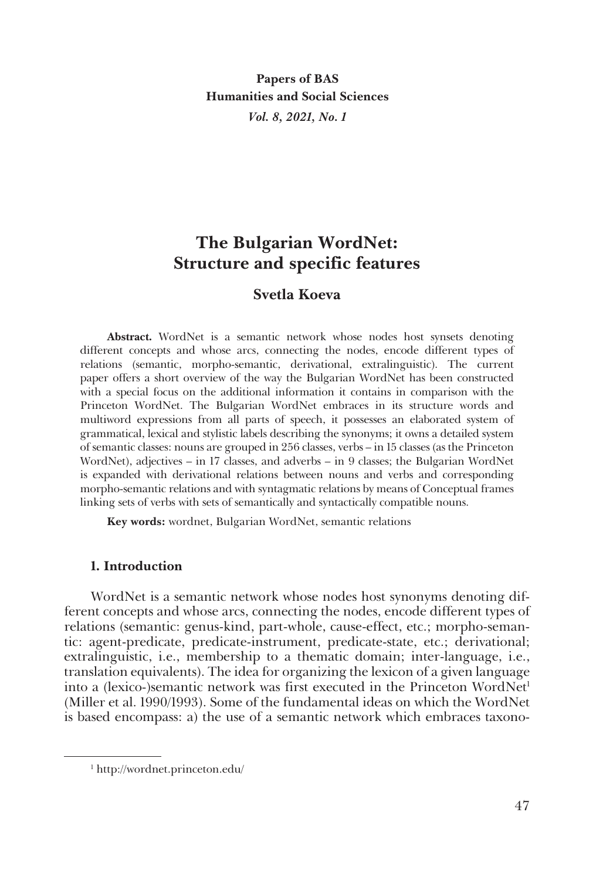**Papers of BAS Humanities and Social Sciences** *Vol. 8, 2021, No. 1*

# **The Bulgarian WordNet: Structure and specific features**

# **Svetla Koeva**

**Abstract.** WordNet is a semantic network whose nodes host synsets denoting different concepts and whose arcs, connecting the nodes, encode different types of relations (semantic, morpho-semantic, derivational, extralinguistic). The current paper offers a short overview of the way the Bulgarian WordNet has been constructed with a special focus on the additional information it contains in comparison with the Princeton WordNet. The Bulgarian WordNet embraces in its structure words and multiword expressions from all parts of speech, it possesses an elaborated system of grammatical, lexical and stylistic labels describing the synonyms; it owns a detailed system of semantic classes: nouns are grouped in 256 classes, verbs – in 15 classes (as the Princeton WordNet), adjectives – in 17 classes, and adverbs – in 9 classes; the Bulgarian WordNet is expanded with derivational relations between nouns and verbs and corresponding morpho-semantic relations and with syntagmatic relations by means of Conceptual frames linking sets of verbs with sets of semantically and syntactically compatible nouns.

**Key words:** wordnet, Bulgarian WordNet, semantic relations

# **1. Introduction**

WordNet is a semantic network whose nodes host synonyms denoting different concepts and whose arcs, connecting the nodes, encode different types of relations (semantic: genus-kind, part-whole, cause-effect, etc.; morpho-semantic: agent-predicate, predicate-instrument, predicate-state, etc.; derivational; extralinguistic, i.e., membership to a thematic domain; inter-language, i.e., translation equivalents). The idea for organizing the lexicon of a given language into a (lexico-)semantic network was first executed in the Princeton WordNet<sup>1</sup> (Miller et al. 1990/1993). Some of the fundamental ideas on which the WordNet is based encompass: a) the use of a semantic network which embraces taxono-

<sup>1</sup> http://wordnet.princeton.edu/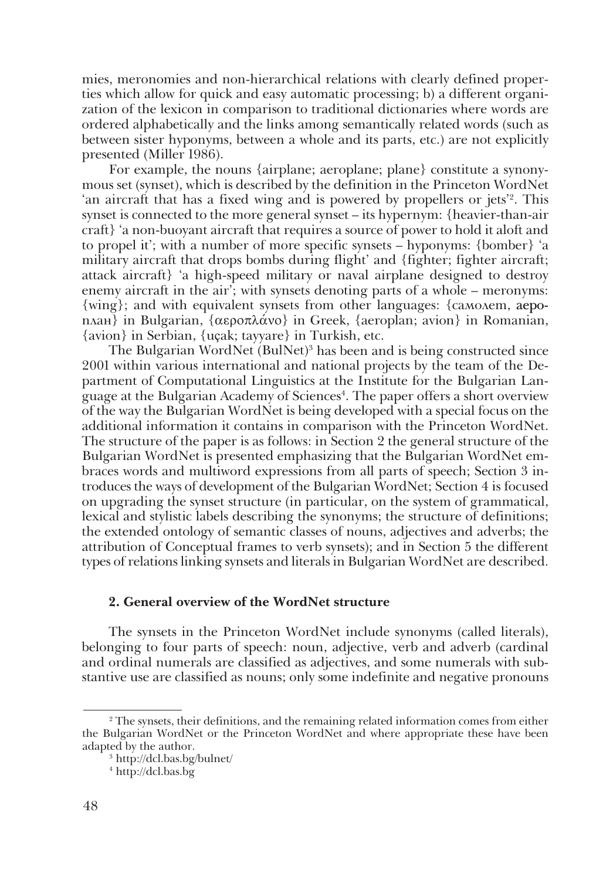mies, meronomies and non-hierarchical relations with clearly defined properties which allow for quick and easy automatic processing; b) a different organization of the lexicon in comparison to traditional dictionaries where words are ordered alphabetically and the links among semantically related words (such as between sister hyponyms, between a whole and its parts, etc.) are not explicitly presented (Miller 1986).

For example, the nouns {airplane; aeroplane; plane} constitute a synonymous set (synset), which is described by the definition in the Princeton WordNet 'an aircraft that has a fixed wing and is powered by propellers or jets'2 . This synset is connected to the more general synset – its hypernym: {heavier-than-air craft} 'a non-buoyant aircraft that requires a source of power to hold it aloft and to propel it'; with a number of more specific synsets – hyponyms: {bomber} 'a military aircraft that drops bombs during flight' and {fighter; fighter aircraft; attack aircraft} 'a high-speed military or naval airplane designed to destroy enemy aircraft in the air'; with synsets denoting parts of a whole – meronyms: {wing}; and with equivalent synsets from other languages: {самолет, аероплан} in Bulgarian, {αεροπλάνο} in Greek, {aeroplan; avion} in Romanian, {avion} in Serbian, {uçak; tayyare} in Turkish, etc.

The Bulgarian WordNet (BulNet)3 has been and is being constructed since 2001 within various international and national projects by the team of the Department of Computational Linguistics at the Institute for the Bulgarian Language at the Bulgarian Academy of Sciences4 . The paper offers a short overview of the way the Bulgarian WordNet is being developed with a special focus on the additional information it contains in comparison with the Princeton WordNet. The structure of the paper is as follows: in Section 2 the general structure of the Bulgarian WordNet is presented emphasizing that the Bulgarian WordNet embraces words and multiword expressions from all parts of speech; Section 3 introduces the ways of development of the Bulgarian WordNet; Section 4 is focused on upgrading the synset structure (in particular, on the system of grammatical, lexical and stylistic labels describing the synonyms; the structure of definitions; the extended ontology of semantic classes of nouns, adjectives and adverbs; the attribution of Conceptual frames to verb synsets); and in Section 5 the different types of relations linking synsets and literals in Bulgarian WordNet are described.

#### **2. General overview of the WordNet structure**

The synsets in the Princeton WordNet include synonyms (called literals), belonging to four parts of speech: noun, adjective, verb and adverb (cardinal and ordinal numerals are classified as adjectives, and some numerals with substantive use are classified as nouns; only some indefinite and negative pronouns

<sup>2</sup> The synsets, their definitions, and the remaining related information comes from either the Bulgarian WordNet or the Princeton WordNet and where appropriate these have been

<sup>&</sup>lt;sup>3</sup> http://dcl.bas.bg/bulnet/

<sup>4</sup> http://dcl.bas.bg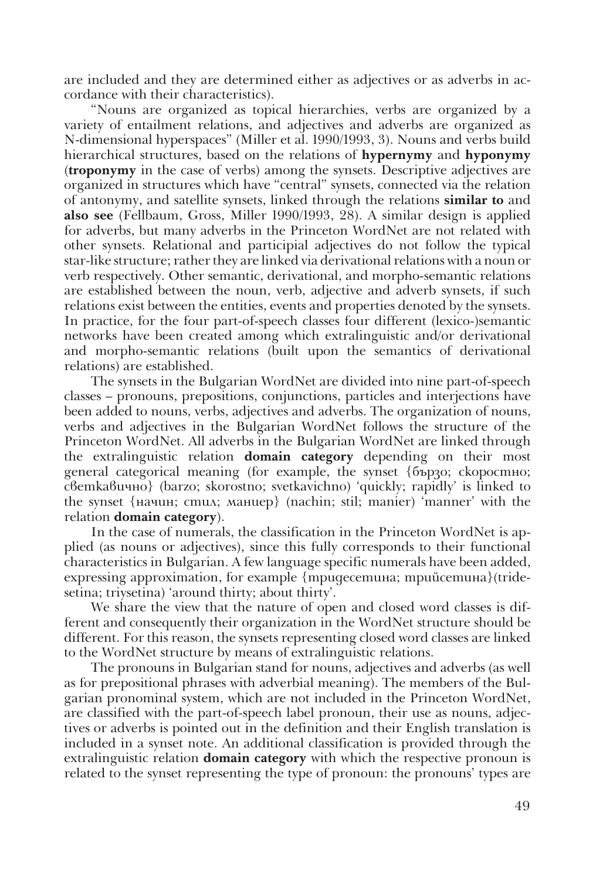are included and they are determined either as adjectives or as adverbs in accordance with their characteristics).

"Nouns are organized as topical hierarchies, verbs are organized by a variety of entailment relations, and adjectives and adverbs are organized as N-dimensional hyperspaces" (Miller et al. 1990/1993, 3). Nouns and verbs build hierarchical structures, based on the relations of **hypernymy** and **hyponymy** (**troponymy** in the case of verbs) among the synsets. Descriptive adjectives are organized in structures which have "central" synsets, connected via the relation of antonymy, and satellite synsets, linked through the relations **similar to** and **also see** (Fellbaum, Gross, Miller 1990/1993, 28). A similar design is applied for adverbs, but many adverbs in the Princeton WordNet are not related with other synsets. Relational and participial adjectives do not follow the typical star-like structure; rather they are linked via derivational relations with a noun or verb respectively. Other semantic, derivational, and morpho-semantic relations are established between the noun, verb, adjective and adverb synsets, if such relations exist between the entities, events and properties denoted by the synsets. In practice, for the four part-of-speech classes four different (lexico-)semantic networks have been created among which extralinguistic and/or derivational and morpho-semantic relations (built upon the semantics of derivational relations) are established.

The synsets in the Bulgarian WordNet are divided into nine part-of-speech classes – pronouns, prepositions, conjunctions, particles and interjections have been added to nouns, verbs, adjectives and adverbs. The organization of nouns, verbs and adjectives in the Bulgarian WordNet follows the structure of the Princeton WordNet. All adverbs in the Bulgarian WordNet are linked through the extralinguistic relation **domain category** depending on their most general categorical meaning (for example, the synset {бързо; скоростно; светкавично} (barzo; skorostno; svetkavichno) 'quickly; rapidly' is linked to the synset {начин; стил; маниер} (nachin; stil; manier) 'manner' with the relation **domain category**).

In the case of numerals, the classification in the Princeton WordNet is applied (as nouns or adjectives), since this fully corresponds to their functional characteristics in Bulgarian. A few language specific numerals have been added, expressing approximation, for example {тридесетина; трийсетина}(tridesetina; triysetina) 'around thirty; about thirty'.

We share the view that the nature of open and closed word classes is different and consequently their organization in the WordNet structure should be different. For this reason, the synsets representing closed word classes are linked to the WordNet structure by means of extralinguistic relations.

The pronouns in Bulgarian stand for nouns, adjectives and adverbs (as well as for prepositional phrases with adverbial meaning). The members of the Bulgarian pronominal system, which are not included in the Princeton WordNet, are classified with the part-of-speech label pronoun, their use as nouns, adjectives or adverbs is pointed out in the definition and their English translation is included in a synset note. An additional classification is provided through the extralinguistic relation **domain category** with which the respective pronoun is related to the synset representing the type of pronoun: the pronouns' types are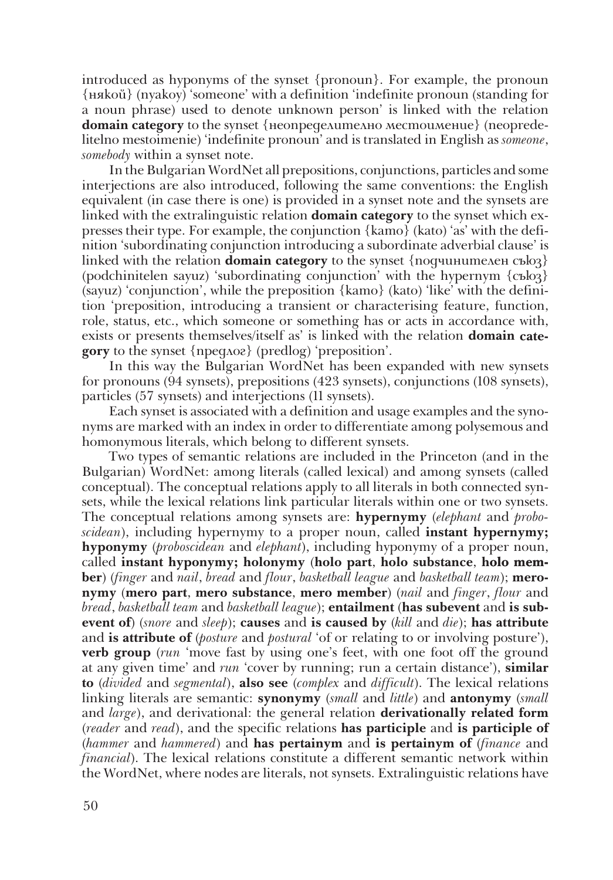introduced as hyponyms of the synset {pronoun}. For example, the pronoun {някой} (nyakoy) 'someone' with a definition 'indefinite pronoun (standing for a noun phrase) used to denote unknown person' is linked with the relation **domain category** to the synset {неопределително местоимение} (neopredelitelno mestoimenie) 'indefinite pronoun' and is translated in English as *someone*, *somebody* within a synset note.

In the Bulgarian WordNet all prepositions, conjunctions, particles and some interjections are also introduced, following the same conventions: the English equivalent (in case there is one) is provided in a synset note and the synsets are linked with the extralinguistic relation **domain category** to the synset which expresses their type. For example, the conjunction {като} (kato) 'as' with the definition 'subordinating conjunction introducing a subordinate adverbial clause' is linked with the relation **domain category** to the synset {подчинителен съюз} (podchinitelen sayuz) 'subordinating conjunction' with the hypernym {съюз} (sayuz) 'conjunction', while the preposition {като} (kato) 'like' with the definition 'preposition, introducing a transient or characterising feature, function, role, status, etc., which someone or something has or acts in accordance with, exists or presents themselves/itself as' is linked with the relation **domain category** to the synset {предлог} (predlog) 'preposition'.

In this way the Bulgarian WordNet has been expanded with new synsets for pronouns (94 synsets), prepositions (423 synsets), conjunctions (108 synsets), particles (57 synsets) and interjections (11 synsets).

Each synset is associated with a definition and usage examples and the synonyms are marked with an index in order to differentiate among polysemous and homonymous literals, which belong to different synsets.

Two types of semantic relations are included in the Princeton (and in the Bulgarian) WordNet: among literals (called lexical) and among synsets (called conceptual). The conceptual relations apply to all literals in both connected synsets, while the lexical relations link particular literals within one or two synsets. The conceptual relations among synsets are: **hypernymy** (*elephant* and *proboscidean*), including hypernymy to a proper noun, called **instant hypernymy; hyponymy** (*proboscidean* and *elephant*), including hyponymy of a proper noun, called instant hyponymy; holonymy (holo part, holo substance, holo mem**ber**) (*finger* and *nail*, *bread* and *flour*, *basketball league* and *basketball team*); **meronymy** (**mero part**, **mero substance**, **mero member**) (*nail* and *finger*, *flour* and *bread*, *basketball team* and *basketball league*); **entailment** (**has subevent** and **is subevent of**) (*snore* and *sleep*); **causes** and **is caused by** (*kill* and *die*); **has attribute** and **is attribute of** (*posture* and *postural* 'of or relating to or involving posture'), **verb group** (*run* 'move fast by using one's feet, with one foot off the ground at any given time' and *run* 'cover by running; run a certain distance'), **similar to** (*divided* and *segmental*), **also see** (*complex* and *difficult*). The lexical relations linking literals are semantic: **synonymy** (*small* and *little*) and **antonymy** (*small* and *large*), and derivational: the general relation **derivationally related form** (*reader* and *read*), and the specific relations **has participle** and **is participle of** (*hammer* and *hammered*) and **has pertainym** and **is pertainym of** (*finance* and *financial*). The lexical relations constitute a different semantic network within the WordNet, where nodes are literals, not synsets. Extralinguistic relations have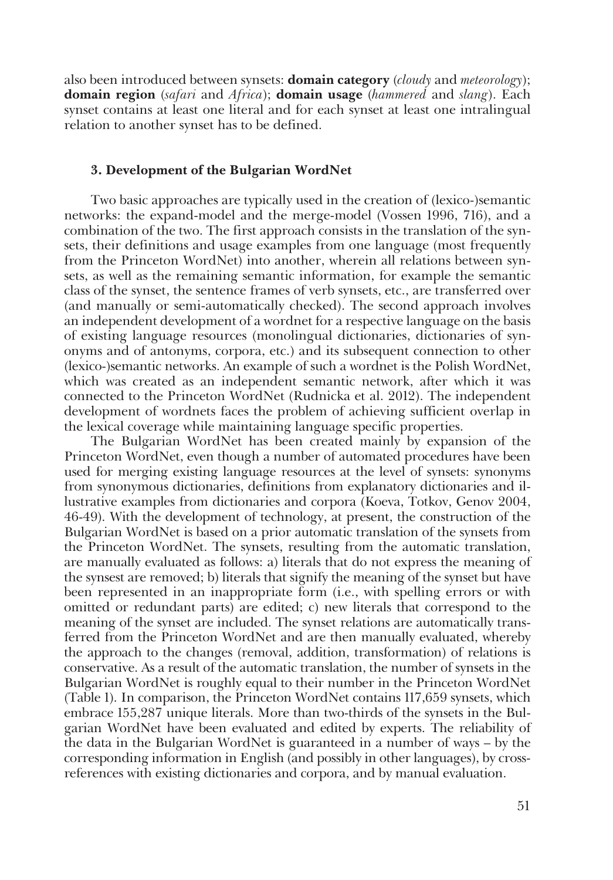also been introduced between synsets: **domain category** (*cloudy* and *meteorology*); **domain region** (*safari* and *Africa*); **domain usage** (*hammered* and *slang*). Each synset contains at least one literal and for each synset at least one intralingual relation to another synset has to be defined.

#### **3. Development of the Bulgarian WordNet**

Two basic approaches are typically used in the creation of (lexico-)semantic networks: the expand-model and the merge-model (Vossen 1996, 716), and a combination of the two. The first approach consists in the translation of the synsets, their definitions and usage examples from one language (most frequently from the Princeton WordNet) into another, wherein all relations between synsets, as well as the remaining semantic information, for example the semantic class of the synset, the sentence frames of verb synsets, etc., are transferred over (and manually or semi-automatically checked). The second approach involves an independent development of a wordnet for a respective language on the basis of existing language resources (monolingual dictionaries, dictionaries of synonyms and of antonyms, corpora, etc.) and its subsequent connection to other (lexico-)semantic networks. An example of such a wordnet is the Polish WordNet, which was created as an independent semantic network, after which it was connected to the Princeton WordNet (Rudnicka et al. 2012). The independent development of wordnets faces the problem of achieving sufficient overlap in the lexical coverage while maintaining language specific properties.

The Bulgarian WordNet has been created mainly by expansion of the Princeton WordNet, even though a number of automated procedures have been used for merging existing language resources at the level of synsets: synonyms from synonymous dictionaries, definitions from explanatory dictionaries and illustrative examples from dictionaries and corpora (Koeva, Totkov, Genov 2004, 46-49). With the development of technology, at present, the construction of the Bulgarian WordNet is based on a prior automatic translation of the synsets from the Princeton WordNet. The synsets, resulting from the automatic translation, are manually evaluated as follows: a) literals that do not express the meaning of the synsest are removed; b) literals that signify the meaning of the synset but have been represented in an inappropriate form (i.e., with spelling errors or with omitted or redundant parts) are edited; c) new literals that correspond to the meaning of the synset are included. The synset relations are automatically transferred from the Princeton WordNet and are then manually evaluated, whereby the approach to the changes (removal, addition, transformation) of relations is conservative. As a result of the automatic translation, the number of synsets in the Bulgarian WordNet is roughly equal to their number in the Princeton WordNet (Table 1). In comparison, the Princeton WordNet contains 117,659 synsets, which embrace 155,287 unique literals. More than two-thirds of the synsets in the Bulgarian WordNet have been evaluated and edited by experts. The reliability of the data in the Bulgarian WordNet is guaranteed in a number of ways – by the corresponding information in English (and possibly in other languages), by crossreferences with existing dictionaries and corpora, and by manual evaluation.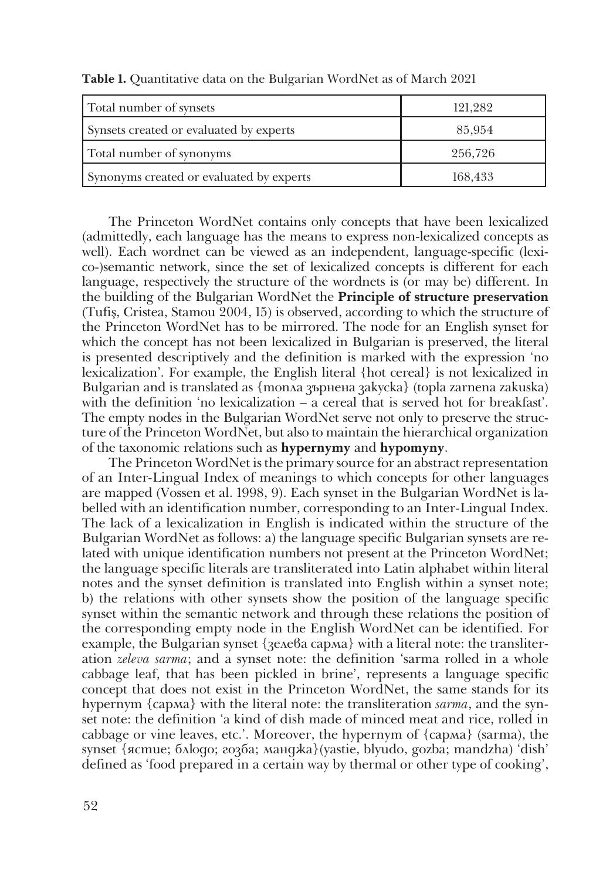| Total number of synsets                  | 121,282 |
|------------------------------------------|---------|
| Synsets created or evaluated by experts  | 85,954  |
| Total number of synonyms                 | 256,726 |
| Synonyms created or evaluated by experts | 168,433 |

**Table 1.** Quantitative data on the Bulgarian WordNet as of March 2021

The Princeton WordNet contains only concepts that have been lexicalized (admittedly, each language has the means to express non-lexicalized concepts as well). Each wordnet can be viewed as an independent, language-specific (lexico-)semantic network, since the set of lexicalized concepts is different for each language, respectively the structure of the wordnets is (or may be) different. In the building of the Bulgarian WordNet the **Principle of structure preservation**  (Tufiş, Cristea, Stamou 2004, 15) is observed, according to which the structure of the Princeton WordNet has to be mirrored. The node for an English synset for which the concept has not been lexicalized in Bulgarian is preserved, the literal is presented descriptively and the definition is marked with the expression 'no lexicalization'. For example, the English literal {hot cereal} is not lexicalized in Bulgarian and is translated as {топла зърнена закуска} (topla zarnena zakuska) with the definition 'no lexicalization – a cereal that is served hot for breakfast'. The empty nodes in the Bulgarian WordNet serve not only to preserve the structure of the Princeton WordNet, but also to maintain the hierarchical organization of the taxonomic relations such as **hypernymy** and **hypomyny**.

The Princeton WordNet is the primary source for an abstract representation of an Inter-Lingual Index of meanings to which concepts for other languages are mapped (Vossen et al. 1998, 9). Each synset in the Bulgarian WordNet is labelled with an identification number, corresponding to an Inter-Lingual Index. The lack of a lexicalization in English is indicated within the structure of the Bulgarian WordNet as follows: a) the language specific Bulgarian synsets are related with unique identification numbers not present at the Princeton WordNet; the language specific literals are transliterated into Latin alphabet within literal notes and the synset definition is translated into English within a synset note; b) the relations with other synsets show the position of the language specific synset within the semantic network and through these relations the position of the corresponding empty node in the English WordNet can be identified. For example, the Bulgarian synset {зелева сарма} with a literal note: the transliteration *zeleva sarma*; and a synset note: the definition 'sarma rolled in a whole cabbage leaf, that has been pickled in brine', represents a language specific concept that does not exist in the Princeton WordNet, the same stands for its hypernym {сарма} with the literal note: the transliteration *sarma*, and the synset note: the definition 'a kind of dish made of minced meat and rice, rolled in cabbage or vine leaves, etc.'. Moreover, the hypernym of {сарма} (sarma), the synset {ястие; блюдо; гозба; манджа}(yastie, blyudo, gozba; mandzha) 'dish' defined as 'food prepared in a certain way by thermal or other type of cooking',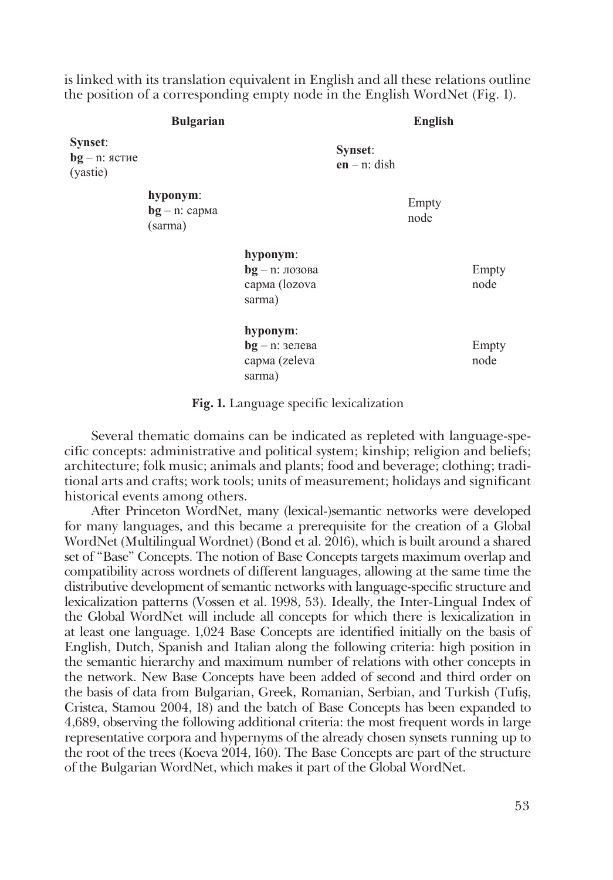is linked with its translation equivalent in English and all these relations outline the position of a corresponding empty node in the English WordNet (Fig. 1).

| <b>Bulgarian</b>                        |                                         | English                                                  |                            |               |               |
|-----------------------------------------|-----------------------------------------|----------------------------------------------------------|----------------------------|---------------|---------------|
| Synset:<br>$bg - n$ : ястие<br>(yastie) |                                         |                                                          | Synset:<br>$en - n$ : dish |               |               |
|                                         | hyponym:<br>$bg - n$ : сарма<br>(sarma) |                                                          |                            | Empty<br>node |               |
|                                         |                                         | hyponym:<br>$bg - n$ : лозова<br>сарма (lozova<br>sarma) |                            |               | Empty<br>node |
|                                         |                                         | hyponym:<br>$bg - n$ : зелева<br>сарма (zeleva<br>sarma) |                            |               | Empty<br>node |

**Fig. 1.** Language specific lexicalization

Several thematic domains can be indicated as repleted with language-specific concepts: administrative and political system; kinship; religion and beliefs; architecture; folk music; animals and plants; food and beverage; clothing; traditional arts and crafts; work tools; units of measurement; holidays and significant historical events among others.

After Princeton WordNet, many (lexical-)semantic networks were developed for many languages, and this became a prerequisite for the creation of a Global WordNet (Multilingual Wordnet) (Bond et al. 2016), which is built around a shared set of "Base" Concepts. The notion of Base Concepts targets maximum overlap and compatibility across wordnets of different languages, allowing at the same time the distributive development of semantic networks with language-specific structure and lexicalization patterns (Vossen et al. 1998, 53). Ideally, the Inter-Lingual Index of the Global WordNet will include all concepts for which there is lexicalization in at least one language. 1,024 Base Concepts are identified initially on the basis of English, Dutch, Spanish and Italian along the following criteria: high position in the semantic hierarchy and maximum number of relations with other concepts in the network. New Base Concepts have been added of second and third order on the basis of data from Bulgarian, Greek, Romanian, Serbian, and Turkish (Tufiş, Cristea, Stamou 2004, 18) and the batch of Base Concepts has been expanded to 4,689, observing the following additional criteria: the most frequent words in large representative corpora and hypernyms of the already chosen synsets running up to the root of the trees (Koeva 2014, 160). The Base Concepts are part of the structure of the Bulgarian WordNet, which makes it part of the Global WordNet.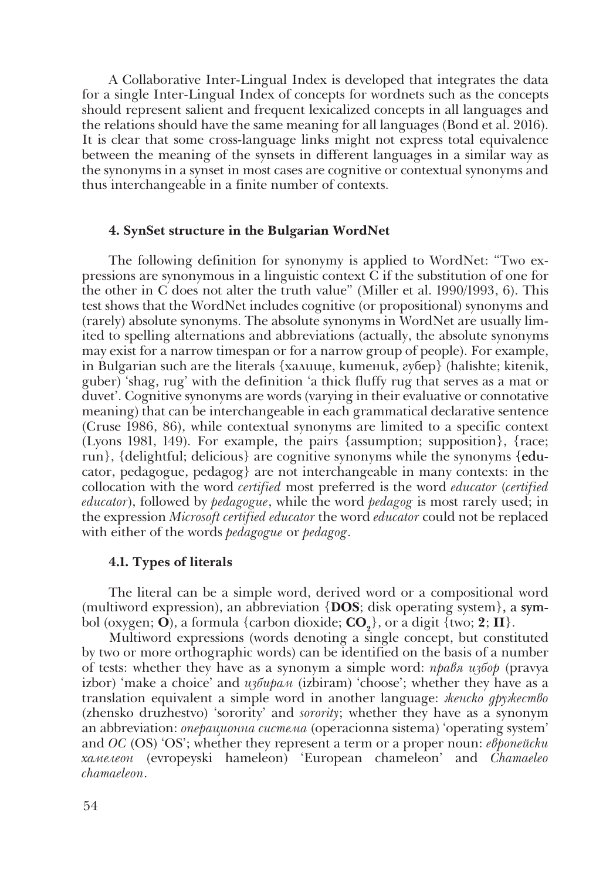A Collaborative Inter-Lingual Index is developed that integrates the data for a single Inter-Lingual Index of concepts for wordnets such as the concepts should represent salient and frequent lexicalized concepts in all languages and the relations should have the same meaning for all languages (Bond et al. 2016). It is clear that some cross-language links might not express total equivalence between the meaning of the synsets in different languages in a similar way as the synonyms in a synset in most cases are cognitive or contextual synonyms and thus interchangeable in a finite number of contexts.

# **4. SynSet structure in the Bulgarian WordNet**

The following definition for synonymy is applied to WordNet: "Two expressions are synonymous in a linguistic context C if the substitution of one for the other in C does not alter the truth value" (Miller et al. 1990/1993, 6). This test shows that the WordNet includes cognitive (or propositional) synonyms and (rarely) absolute synonyms. The absolute synonyms in WordNet are usually limited to spelling alternations and abbreviations (actually, the absolute synonyms may exist for a narrow timespan or for a narrow group of people). For example, in Bulgarian such are the literals {халище, китеник, губер} (halishte; kitenik, guber) 'shag, rug' with the definition 'a thick fluffy rug that serves as a mat or duvet'. Cognitive synonyms are words (varying in their evaluative or connotative meaning) that can be interchangeable in each grammatical declarative sentence (Cruse 1986, 86), while contextual synonyms are limited to a specific context (Lyons 1981, 149). For example, the pairs {assumption; supposition}, {race; run}, {delightful; delicious} are cognitive synonyms while the synonyms {educator, pedagogue, pedagog} are not interchangeable in many contexts: in the collocation with the word *certified* most preferred is the word *educator* (*certified educator*), followed by *pedagogue*, while the word *pedagog* is most rarely used; in the expression *Microsoft certified educator* the word *educator* could not be replaced with either of the words *pedagogue* or *pedagog*.

# **4.1. Types of literals**

The literal can be a simple word, derived word or a compositional word (multiword expression), an abbreviation  ${[DOS; disk operating system]}$ , a symbol (oxygen; **O**), a formula {carbon dioxide;  $CO_2$ }, or a digit {two; **2**; **II**}.

Multiword expressions (words denoting a single concept, but constituted by two or more orthographic words) can be identified on the basis of a number of tests: whether they have as a synonym a simple word: *правя избор* (pravya izbor) 'make a choice' and *избирам* (izbiram) 'choose'; whether they have as a translation equivalent a simple word in another language: *женско дружество* (zhensko druzhestvo) 'sorority' and *sorority*; whether they have as a synonym an abbreviation: *операционна система* (operacionna sistema) 'operating system' and *ОС* (OS) 'OS'; whether they represent a term or a proper noun: *европейски хамелеон* (evropeyski hameleon) 'European chameleon' and *Chamaeleo chamaeleon*.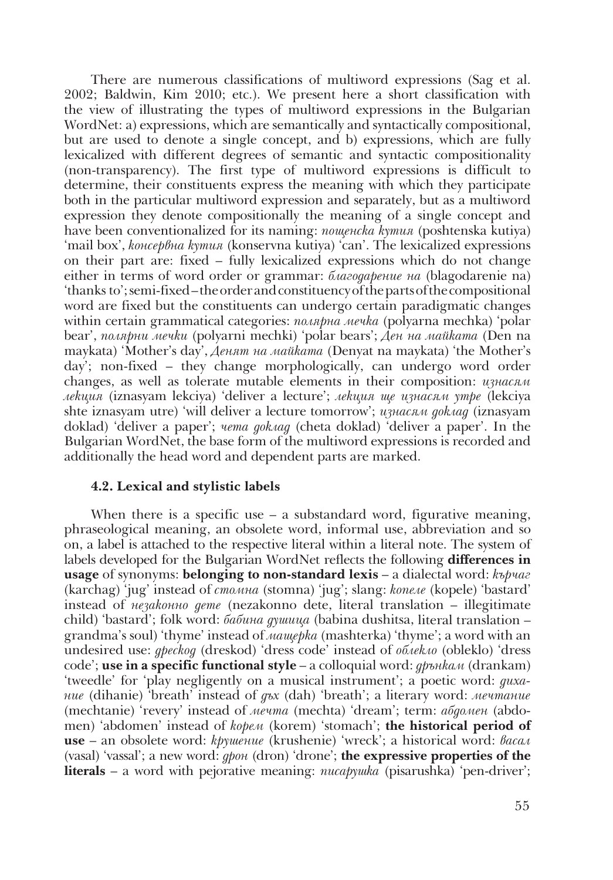There are numerous classifications of multiword expressions (Sag et al. 2002; Baldwin, Kim 2010; etc.). We present here a short classification with the view of illustrating the types of multiword expressions in the Bulgarian WordNet: a) expressions, which are semantically and syntactically compositional, but are used to denote a single concept, and b) expressions, which are fully lexicalized with different degrees of semantic and syntactic compositionality (non-transparency). The first type of multiword expressions is difficult to determine, their constituents express the meaning with which they participate both in the particular multiword expression and separately, but as a multiword expression they denote compositionally the meaning of a single concept and have been conventionalized for its naming: *пощенска кутия* (poshtenska kutiya) 'mail box', *консервна кутия* (konservna kutiya) 'can'. The lexicalized expressions on their part are: fixed – fully lexicalized expressions which do not change either in terms of word order or grammar: *благодарение на* (blagodarenie na) 'thanks to'; semi-fixed – the order and constituency of the parts of the compositional word are fixed but the constituents can undergo certain paradigmatic changes within certain grammatical categories: *полярна мечка* (polyarna mechka) 'polar bear', *полярни мечки* (polyarni mechki) 'polar bears'; *Ден на майката* (Den na maykata) 'Mother's day', *Денят на майката* (Denyat na maykata) 'the Mother's day'; non-fixed – they change morphologically, can undergo word order changes, as well as tolerate mutable elements in their composition: *изнасям лекция* (iznasyam lekciya) 'deliver a lecture'; *лекция ще изнасям утре* (lekciya shte iznasyam utre) 'will deliver a lecture tomorrow'; *изнасям доклад* (iznasyam doklad) 'deliver a paper'; *чета доклад* (cheta doklad) 'deliver a paper'. In the Bulgarian WordNet, the base form of the multiword expressions is recorded and additionally the head word and dependent parts are marked.

# **4.2. Lexical and stylistic labels**

When there is a specific use  $-$  a substandard word, figurative meaning, phraseological meaning, an obsolete word, informal use, abbreviation and so on, a label is attached to the respective literal within a literal note. The system of labels developed for the Bulgarian WordNet reflects the following **differences in usage** of synonyms: **belonging to non-standard lexis** – a dialectal word: *кърчаг* (karchag) 'jug' instead of *стомна* (stomna) 'jug'; slang: *копеле* (kopele) 'bastard' instead of *незаконно дете* (nezakonno dete, literal translation – illegitimate child) 'bastard'; folk word: *бабина душица* (babina dushitsa, literal translation – grandma's soul) 'thyme' instead of *мащерка* (mashterka) 'thyme'; a word with an undesired use: *дрескод* (dreskod) 'dress code' instead of *облекло* (obleklo) 'dress code'; **use in a specific functional style** – a colloquial word: *дрънкам* (drankam) 'tweedle' for 'play negligently on a musical instrument'; a poetic word: *дихание* (dihanie) 'breath' instead of *дъх* (dah) 'breath'; a literary word: *мечтание* (mechtanie) 'revery' instead of *мечта* (mechta) 'dream'; term: *абдомен* (abdomen) 'abdomen' instead of *корем* (korem) 'stomach'; **the historical period of use** – an obsolete word: *крушение* (krushenie) 'wreck'; a historical word: *васал*  (vasal) 'vassal'; a new word: *дрон* (dron) 'drone'; **the expressive properties of the literals** – a word with pejorative meaning: *писарушка* (pisarushka) 'pen-driver';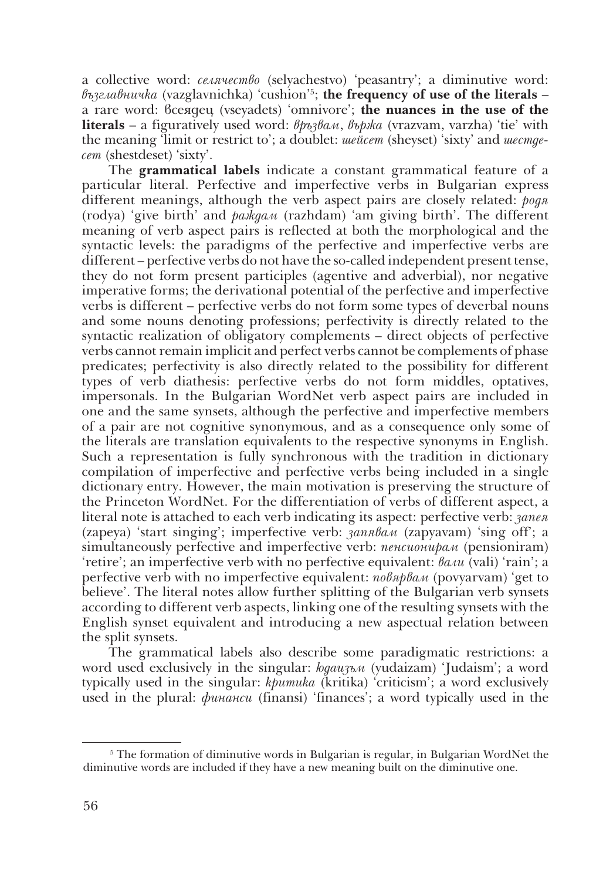a collective word: *селячество* (selyachestvo) 'peasantry'; a diminutive word: *възглавничка* (vazglavnichka) 'cushion' 5 ; **the frequency of use of the literals** – a rare word: всеядец (vseyadets) 'omnivore'; **the nuances in the use of the literals** – a figuratively used word: *връзвам*, *вържа* (vrazvam, varzha) 'tie' with the meaning 'limit or restrict to'; a doublet: *шейсет* (sheyset) 'sixty' and *шестдесет* (shestdeset) 'sixty'.

The **grammatical labels** indicate a constant grammatical feature of a particular literal. Perfective and imperfective verbs in Bulgarian express different meanings, although the verb aspect pairs are closely related: *родя*  (rodya) 'give birth' and *раждам* (razhdam) 'am giving birth'. The different meaning of verb aspect pairs is reflected at both the morphological and the syntactic levels: the paradigms of the perfective and imperfective verbs are different – perfective verbs do not have the so-called independent present tense, they do not form present participles (agentive and adverbial), nor negative imperative forms; the derivational potential of the perfective and imperfective verbs is different – perfective verbs do not form some types of deverbal nouns and some nouns denoting professions; perfectivity is directly related to the syntactic realization of obligatory complements – direct objects of perfective verbs cannot remain implicit and perfect verbs cannot be complements of phase predicates; perfectivity is also directly related to the possibility for different types of verb diathesis: perfective verbs do not form middles, optatives, impersonals. In the Bulgarian WordNet verb aspect pairs are included in one and the same synsets, although the perfective and imperfective members of a pair are not cognitive synonymous, and as a consequence only some of the literals are translation equivalents to the respective synonyms in English. Such a representation is fully synchronous with the tradition in dictionary compilation of imperfective and perfective verbs being included in a single dictionary entry. However, the main motivation is preserving the structure of the Princeton WordNet. For the differentiation of verbs of different aspect, a literal note is attached to each verb indicating its aspect: perfective verb: *запея* (zapeya) 'start singing'; imperfective verb: *запявам* (zapyavam) 'sing off'; a simultaneously perfective and imperfective verb: *пенсионирам* (pensioniram) 'retire'; an imperfective verb with no perfective equivalent: *вали* (vali) 'rain'; a perfective verb with no imperfective equivalent: *повярвам* (povyarvam) 'get to believe'. The literal notes allow further splitting of the Bulgarian verb synsets according to different verb aspects, linking one of the resulting synsets with the English synset equivalent and introducing a new aspectual relation between the split synsets.

The grammatical labels also describe some paradigmatic restrictions: a word used exclusively in the singular: *юдаизъм* (yudaizam) 'Judaism'; a word typically used in the singular: *критика* (kritika) 'criticism'; a word exclusively used in the plural: *финанси* (finansi) 'finances'; a word typically used in the

 $5$  The formation of diminutive words in Bulgarian is regular, in Bulgarian WordNet the diminutive words are included if they have a new meaning built on the diminutive one.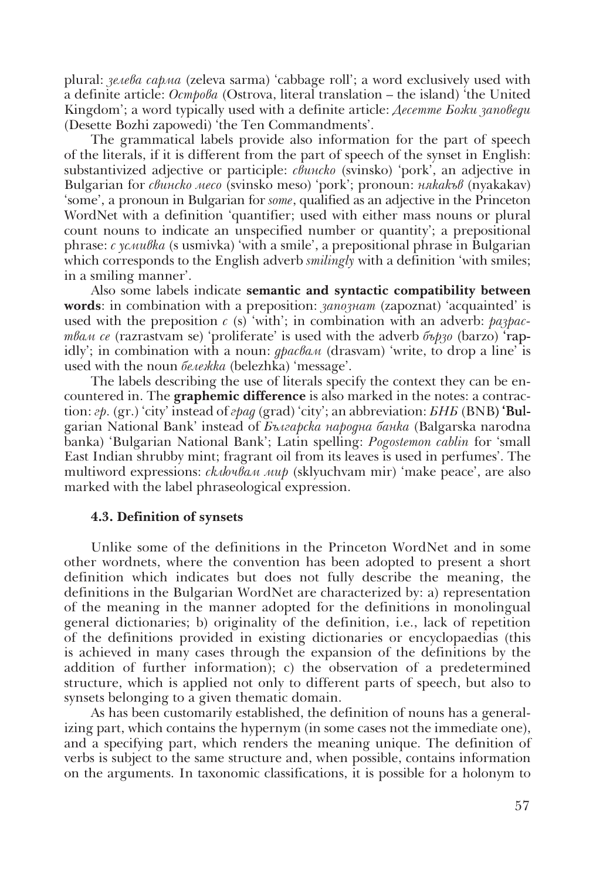plural: *зелева сарма* (zeleva sarma) 'cabbage roll'; a word exclusively used with a definite article: *Острова* (Ostrova, literal translation – the island) 'the United Kingdom'; a word typically used with a definite article: *Десетте Божи заповеди*  (Desette Bozhi zapowedi) 'the Ten Commandments'.

The grammatical labels provide also information for the part of speech of the literals, if it is different from the part of speech of the synset in English: substantivized adjective or participle: *свинско* (svinsko) 'pork', an adjective in Bulgarian for *свинско месо* (svinsko meso) 'pork'; pronoun: *някакъв* (nyakakav) 'some', a pronoun in Bulgarian for *some*, qualified as an adjective in the Princeton WordNet with a definition 'quantifier; used with either mass nouns or plural count nouns to indicate an unspecified number or quantity'; a prepositional phrase: *с усмивка* (s usmivka) 'with a smile', a prepositional phrase in Bulgarian which corresponds to the English adverb *smilingly* with a definition 'with smiles; in a smiling manner'.

Also some labels indicate **semantic and syntactic compatibility between words**: in combination with a preposition: *запознат* (zapoznat) 'acquainted' is used with the preposition *c* (s) 'with'; in combination with an adverb: *pa3pacтвам се* (razrastvam se) 'proliferate' is used with the adverb *бързо* (barzo) 'rapidly'; in combination with a noun: *драсвам* (drasvam) 'write, to drop a line' is used with the noun *бележка* (belezhka) 'message'.

The labels describing the use of literals specify the context they can be encountered in. The **graphemic difference** is also marked in the notes: a contraction: *гр.* (gr.) 'city' instead of *град* (grad) 'city'; an abbreviation: *БНБ* (BNB) 'Bulgarian National Bank' instead of *Българска народна банка* (Balgarska narodna banka) 'Bulgarian National Bank'; Latin spelling: *Pogostemon cablin* for 'small East Indian shrubby mint; fragrant oil from its leaves is used in perfumes'. The multiword expressions: *сключвам мир* (sklyuchvam mir) 'make peace', are also marked with the label phraseological expression.

#### **4.3. Definition of synsets**

Unlike some of the definitions in the Princeton WordNet and in some other wordnets, where the convention has been adopted to present a short definition which indicates but does not fully describe the meaning, the definitions in the Bulgarian WordNet are characterized by: a) representation of the meaning in the manner adopted for the definitions in monolingual general dictionaries; b) originality of the definition, i.e., lack of repetition of the definitions provided in existing dictionaries or encyclopaedias (this is achieved in many cases through the expansion of the definitions by the addition of further information); c) the observation of a predetermined structure, which is applied not only to different parts of speech, but also to synsets belonging to a given thematic domain.

As has been customarily established, the definition of nouns has a generalizing part, which contains the hypernym (in some cases not the immediate one), and a specifying part, which renders the meaning unique. The definition of verbs is subject to the same structure and, when possible, contains information on the arguments. In taxonomic classifications, it is possible for a holonym to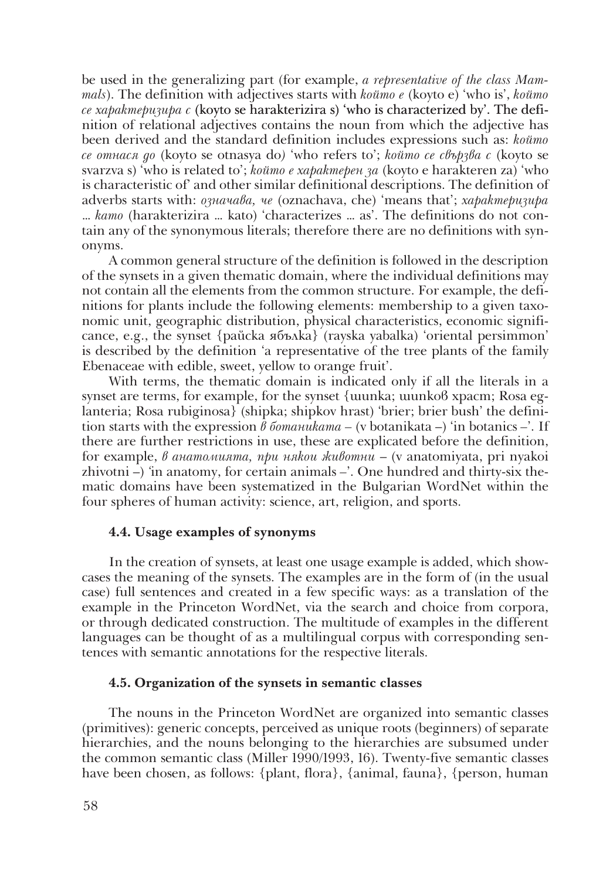be used in the generalizing part (for example, *a representative of the class Mammals*). The definition with adjectives starts with *който е* (koyto e) 'who is', *който се характеризира с* (koyto se harakterizira s) 'who is characterized by'. The definition of relational adjectives contains the noun from which the adjective has been derived and the standard definition includes expressions such as: *който се отнася до* (koyto se otnasya do*)* 'who refers to'; *който се свързва с* (koyto se svarzva s) 'who is related to'; *който е характерен за* (koyto e harakteren za) 'who is characteristic of' and other similar definitional descriptions. The definition of adverbs starts with: *означава, че* (oznachava, che) 'means that'; *характеризира* … *като* (harakterizira … kato) 'characterizes … as'. The definitions do not contain any of the synonymous literals; therefore there are no definitions with synonyms.

A common general structure of the definition is followed in the description of the synsets in a given thematic domain, where the individual definitions may not contain all the elements from the common structure. For example, the definitions for plants include the following elements: membership to a given taxonomic unit, geographic distribution, physical characteristics, economic significance, e.g., the synset {райска ябълка} (rayska yabalka) 'oriental persimmon' is described by the definition 'a representative of the tree plants of the family Ebenaceae with edible, sweet, yellow to orange fruit'.

With terms, the thematic domain is indicated only if all the literals in a synset are terms, for example, for the synset {uunka; uunkob xpacm; Rosa eglanteria; Rosa rubiginosa} (shipka; shipkov hrast) 'brier; brier bush' the definition starts with the expression *в ботаниката –* (v botanikata –) 'in botanics *–*'. If there are further restrictions in use, these are explicated before the definition, for example, *в анатомията, при някои животни* – (v anatomiyata, pri nyakoi zhivotni –) *'*in anatomy, for certain animals *–*'. One hundred and thirty-six thematic domains have been systematized in the Bulgarian WordNet within the four spheres of human activity: science, art, religion, and sports.

# **4.4. Usage examples of synonyms**

In the creation of synsets, at least one usage example is added, which showcases the meaning of the synsets. The examples are in the form of (in the usual case) full sentences and created in a few specific ways: as a translation of the example in the Princeton WordNet, via the search and choice from corpora, or through dedicated construction. The multitude of examples in the different languages can be thought of as a multilingual corpus with corresponding sentences with semantic annotations for the respective literals.

# **4.5. Organization of the synsets in semantic classes**

The nouns in the Princeton WordNet are organized into semantic classes (primitives): generic concepts, perceived as unique roots (beginners) of separate hierarchies, and the nouns belonging to the hierarchies are subsumed under the common semantic class (Miller 1990/1993, 16). Twenty-five semantic classes have been chosen, as follows: {plant, flora}, {animal, fauna}, {person, human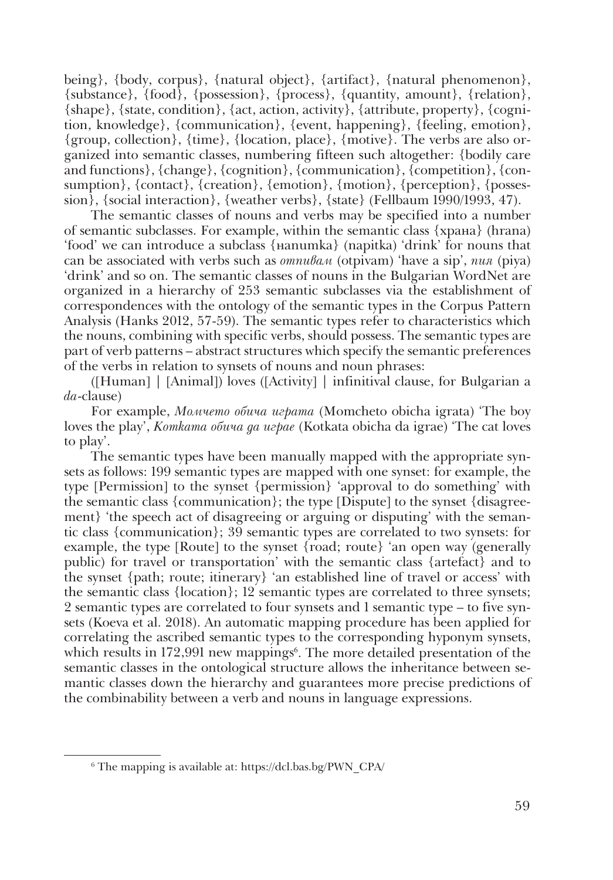being}, {body, corpus}, {natural object}, {artifact}, {natural phenomenon}, {substance}, {food}, {possession}, {process}, {quantity, amount}, {relation}, {shape}, {state, condition}, {act, action, activity}, {attribute, property}, {cognition, knowledge}, {communication}, {event, happening}, {feeling, emotion}, {group, collection}, {time}, {location, place}, {motive}. The verbs are also organized into semantic classes, numbering fifteen such altogether: {bodily care and functions}, {change}, {cognition}, {communication}, {competition}, {consumption}, {contact}, {creation}, {emotion}, {motion}, {perception}, {possession}, {social interaction}, {weather verbs}, {state} (Fellbaum 1990/1993, 47).

The semantic classes of nouns and verbs may be specified into a number of semantic subclasses. For example, within the semantic class {храна} (hrana) 'food' we can introduce a subclass {напитка} (napitka) 'drink' for nouns that can be associated with verbs such as *отпивам* (otpivam) 'have a sip', *пия* (piya) 'drink' and so on. The semantic classes of nouns in the Bulgarian WordNet are organized in a hierarchy of 253 semantic subclasses via the establishment of correspondences with the ontology of the semantic types in the Corpus Pattern Analysis (Hanks 2012, 57-59). The semantic types refer to characteristics which the nouns, combining with specific verbs, should possess. The semantic types are part of verb patterns – abstract structures which specify the semantic preferences of the verbs in relation to synsets of nouns and noun phrases:

([Human] | [Animal]) loves ([Activity] | infinitival clause, for Bulgarian a *da*-clause)

For example, *Момчето обича играта* (Momcheto obicha igrata) 'The boy loves the play', *Котката обича да играе* (Kotkata obicha da igrae) 'The cat loves to play'.

The semantic types have been manually mapped with the appropriate synsets as follows: 199 semantic types are mapped with one synset: for example, the type [Permission] to the synset {permission} 'approval to do something' with the semantic class {communication}; the type [Dispute] to the synset {disagreement} 'the speech act of disagreeing or arguing or disputing' with the semantic class {communication}; 39 semantic types are correlated to two synsets: for example, the type [Route] to the synset {road; route} 'an open way (generally public) for travel or transportation' with the semantic class {artefact} and to the synset {path; route; itinerary} 'an established line of travel or access' with the semantic class {location}; 12 semantic types are correlated to three synsets; 2 semantic types are correlated to four synsets and 1 semantic type – to five synsets (Koeva et al. 2018). An automatic mapping procedure has been applied for correlating the ascribed semantic types to the corresponding hyponym synsets, which results in 172,991 new mappings<sup>6</sup>. The more detailed presentation of the semantic classes in the ontological structure allows the inheritance between semantic classes down the hierarchy and guarantees more precise predictions of the combinability between a verb and nouns in language expressions.

<sup>6</sup> The mapping is available at: https://dcl.bas.bg/PWN\_CPA/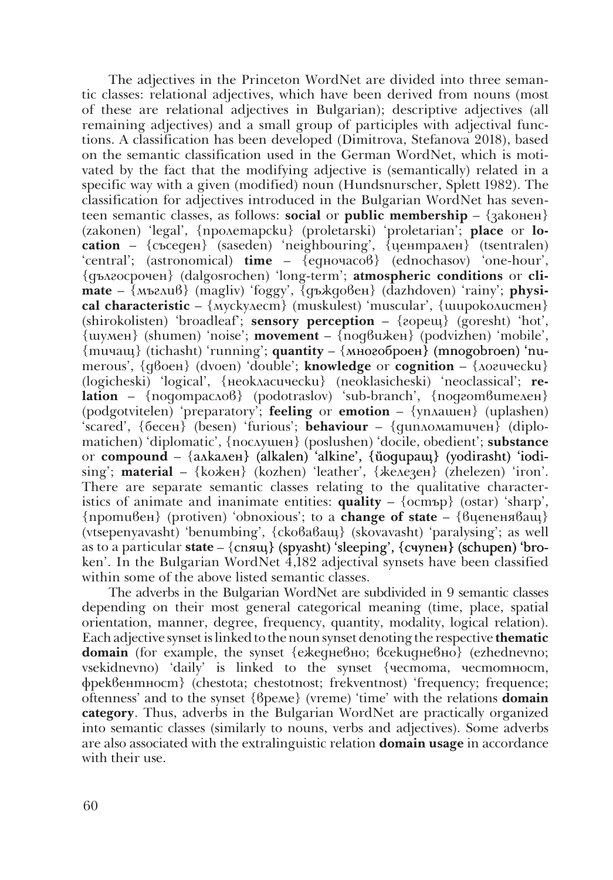The adjectives in the Princeton WordNet are divided into three semantic classes: relational adjectives, which have been derived from nouns (most of these are relational adjectives in Bulgarian); descriptive adjectives (all remaining adjectives) and a small group of participles with adjectival functions. A classification has been developed (Dimitrova, Stefanova 2018), based on the semantic classification used in the German WordNet, which is motivated by the fact that the modifying adjective is (semantically) related in a specific way with a given (modified) noun (Hundsnurscher, Splett 1982). The classification for adjectives introduced in the Bulgarian WordNet has seventeen semantic classes, as follows: **social** or **public membership** – {законен} (zakonen) 'legal', {пролетарски} (proletarski) 'proletarian'; **place** or **location**  – {съседен} (saseden) 'neighbouring', {централен} (tsentralen) 'central'; (astronomical) **time** – {едночасов} (ednochasov) 'one-hour', {дългосрочен} (dalgosrochen) 'long-term'; **atmospheric conditions** or **climate** – {мъглив} (magliv) 'foggy', {дъждовен} (dazhdoven) 'rainy'; **physical characteristic** – {мускулест} (muskulest) 'muscular', {широколистен} (shirokolisten) 'broadleaf'; **sensory perception** – {горещ} (goresht) 'hot', {шумен} (shumen) 'noise'; **movement** – {подвижен} (podvizhen) 'mobile', {muчaщ} (tichasht) 'running'; **quantity** – {многоброен} (mnogobroen) 'numerous', {двоен} (dvoen) 'double'; **knowledge** or **cognition** – {логически} (logicheski) 'logical', {неокласически} (neoklasicheski) 'neoclassical'; **relation** – {подотраслов} (podotraslov) 'sub-branch', {подготвителен} (podgotvitelen) 'preparatory'; **feeling** or **emotion** – {уплашен} (uplashen) 'scared', {бесен} (besen) 'furious'; **behaviour** – {дипломатичен} (diplomatichen) 'diplomatic', {послушен} (poslushen) 'docile, obedient'; **substance**  or **compound** – {алкален} (alkalen) 'alkine', {йодиращ} (yodirasht) 'iodising'; **material** – {кожен} (kozhen) 'leather', {железен} (zhelezen) 'iron'. There are separate semantic classes relating to the qualitative characteristics of animate and inanimate entities:  $\textbf{quality}$  –  $\{\text{ocmbp}\}$  (ostar) 'sharp', {противен} (protiven) 'obnoxious'; to a **change of state** – {вцепеняващ} (vtsepenyavasht) 'benumbing', {сковаващ} (skovavasht) 'paralysing'; as well as to a particular **state** – {cnящ} (spyasht) 'sleeping', {cyvnen} (schupen) 'broken'. In the Bulgarian WordNet 4,182 adjectival synsets have been classified within some of the above listed semantic classes.

The adverbs in the Bulgarian WordNet are subdivided in 9 semantic classes depending on their most general categorical meaning (time, place, spatial orientation, manner, degree, frequency, quantity, modality, logical relation). Each adjective synset is linked to the noun synset denoting the respective **thematic domain** (for example, the synset {ежедневно; всекидневно} (ezhednevno; vsekidnevno) 'daily' is linked to the synset {честота, честотност, фреквентност} (chestota; chestotnost; frekventnost) 'frequency; frequence; oftenness' and to the synset {време} (vreme) 'time' with the relations **domain category**. Thus, adverbs in the Bulgarian WordNet are practically organized into semantic classes (similarly to nouns, verbs and adjectives). Some adverbs are also associated with the extralinguistic relation **domain usage** in accordance with their use.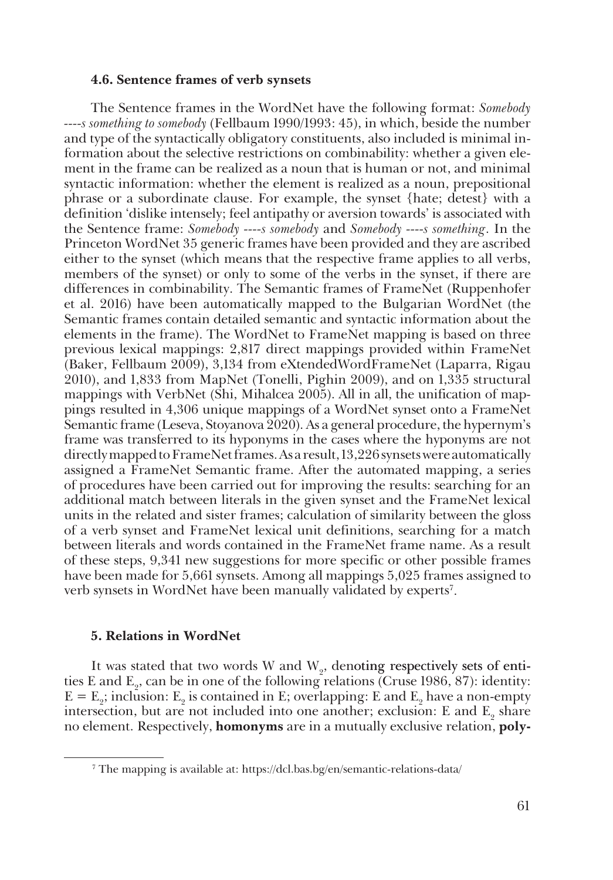#### **4.6. Sentence frames of verb synsets**

The Sentence frames in the WordNet have the following format: *Somebody ----s something to somebody* (Fellbaum 1990/1993: 45), in which, beside the number and type of the syntactically obligatory constituents, also included is minimal information about the selective restrictions on combinability: whether a given element in the frame can be realized as a noun that is human or not, and minimal syntactic information: whether the element is realized as a noun, prepositional phrase or a subordinate clause. For example, the synset {hate; detest} with a definition 'dislike intensely; feel antipathy or aversion towards' is associated with the Sentence frame: *Somebody ----s somebody* and *Somebody ----s something*. In the Princeton WordNet 35 generic frames have been provided and they are ascribed either to the synset (which means that the respective frame applies to all verbs, members of the synset) or only to some of the verbs in the synset, if there are differences in combinability. The Semantic frames of FrameNet (Ruppenhofer et al. 2016) have been automatically mapped to the Bulgarian WordNet (the Semantic frames contain detailed semantic and syntactic information about the elements in the frame). The WordNet to FrameNet mapping is based on three previous lexical mappings: 2,817 direct mappings provided within FrameNet (Baker, Fellbaum 2009), 3,134 from eXtendedWordFrameNet (Laparra, Rigau 2010), and 1,833 from MapNet (Tonelli, Pighin 2009), and on 1,335 structural mappings with VerbNet (Shi, Mihalcea 2005). All in all, the unification of mappings resulted in 4,306 unique mappings of a WordNet synset onto a FrameNet Semantic frame (Leseva, Stoyanova 2020). As a general procedure, the hypernym's frame was transferred to its hyponyms in the cases where the hyponyms are not directly mapped to FrameNet frames. As a result, 13,226 synsets were automatically assigned a FrameNet Semantic frame. After the automated mapping, a series of procedures have been carried out for improving the results: searching for an additional match between literals in the given synset and the FrameNet lexical units in the related and sister frames; calculation of similarity between the gloss of a verb synset and FrameNet lexical unit definitions, searching for a match between literals and words contained in the FrameNet frame name. As a result of these steps, 9,341 new suggestions for more specific or other possible frames have been made for 5,661 synsets. Among all mappings 5,025 frames assigned to verb synsets in WordNet have been manually validated by experts7 .

#### **5. Relations in WordNet**

It was stated that two words W and  $W_2$ , denoting respectively sets of entities E and  $E_2$ , can be in one of the following relations (Cruse 1986, 87): identity:  $E = E_2$ ; inclusion:  $E_2$  is contained in E; overlapping: E and  $E_2$  have a non-empty intersection, but are not included into one another; exclusion: E and  $E_2$  share no element. Respectively, **homonyms** are in a mutually exclusive relation, **poly-**

<sup>7</sup> The mapping is available at: https://dcl.bas.bg/en/semantic-relations-data/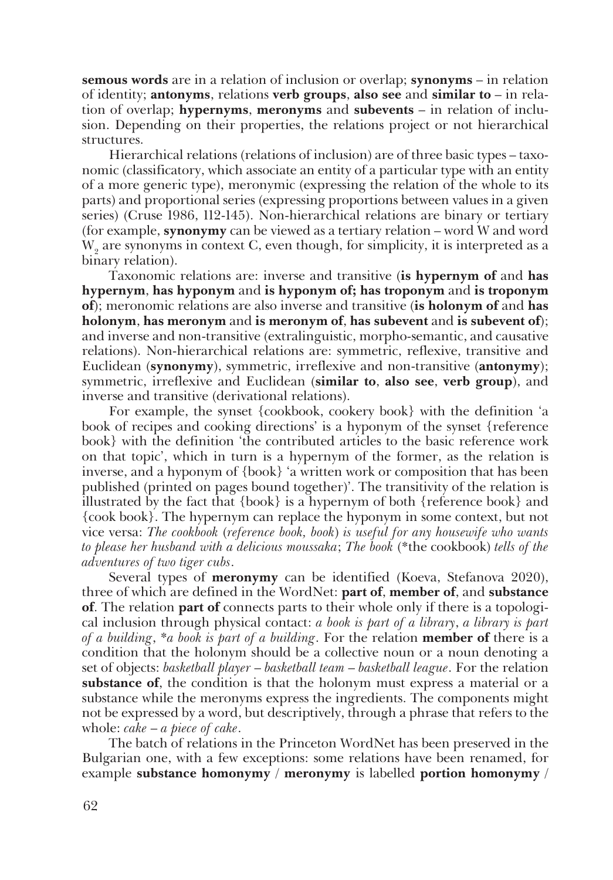**semous words** are in a relation of inclusion or overlap; **synonyms** – in relation of identity; **antonyms**, relations **verb groups**, **also see** and **similar to** – in relation of overlap; **hypernyms**, **meronyms** and **subevents** – in relation of inclusion. Depending on their properties, the relations project or not hierarchical structures.

Hierarchical relations (relations of inclusion) are of three basic types – taxonomic (classificatory, which associate an entity of a particular type with an entity of a more generic type), meronymic (expressing the relation of the whole to its parts) and proportional series (expressing proportions between values in a given series) (Cruse 1986, 112-145). Non-hierarchical relations are binary or tertiary (for example, **synonymy** can be viewed as a tertiary relation – word W and word  $W<sub>2</sub>$  are synonyms in context C, even though, for simplicity, it is interpreted as a binary relation).

Taxonomic relations are: inverse and transitive (**is hypernym of** and **has hypernym**, **has hyponym** and **is hyponym of; has troponym** and **is troponym of**); meronomic relations are also inverse and transitive (**is holonym of** and **has holonym**, **has meronym** and **is meronym of**, **has subevent** and **is subevent of**); and inverse and non-transitive (extralinguistic, morpho-semantic, and causative relations). Non-hierarchical relations are: symmetric, reflexive, transitive and Euclidean (**synonymy**), symmetric, irreflexive and non-transitive (**antonymy**); symmetric, irreflexive and Euclidean (**similar to**, **also see**, **verb group**), and inverse and transitive (derivational relations).

For example, the synset {cookbook, cookery book} with the definition 'a book of recipes and cooking directions' is a hyponym of the synset {reference book} with the definition 'the contributed articles to the basic reference work on that topic', which in turn is a hypernym of the former, as the relation is inverse, and a hyponym of {book} 'a written work or composition that has been published (printed on pages bound together)'. The transitivity of the relation is illustrated by the fact that {book} is a hypernym of both {reference book} and {cook book}. The hypernym can replace the hyponym in some context, but not vice versa: *The cookbook* (*reference book, book*) *is useful for any housewife who wants to please her husband with a delicious moussaka*; *The book* (\*the cookbook) *tells of the adventures of two tiger cubs*.

Several types of **meronymy** can be identified (Koeva, Stefanova 2020), three of which are defined in the WordNet: **part of**, **member of**, and **substance of**. The relation **part of** connects parts to their whole only if there is a topological inclusion through physical contact: *a book is part of a library*, *a library is part of a building*, \**a book is part of a building*. For the relation **member of** there is a condition that the holonym should be a collective noun or a noun denoting a set of objects: *basketball player* – *basketball team* – *basketball league*. For the relation **substance of**, the condition is that the holonym must express a material or a substance while the meronyms express the ingredients. The components might not be expressed by a word, but descriptively, through a phrase that refers to the whole: *cake* – *a piece of cake*.

The batch of relations in the Princeton WordNet has been preserved in the Bulgarian one, with a few exceptions: some relations have been renamed, for example **substance homonymy** / **meronymy** is labelled **portion homonymy** /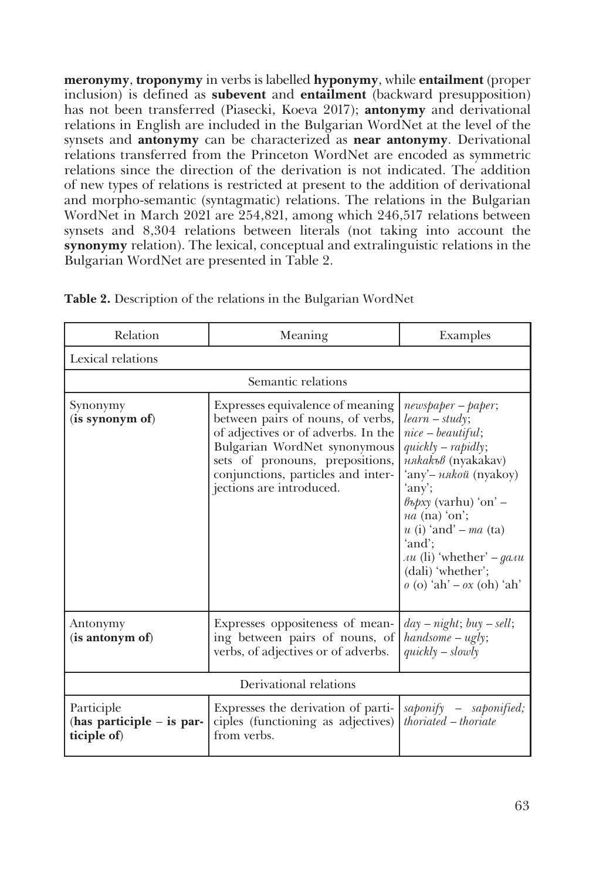**meronymy**, **troponymy** in verbs is labelled **hyponymy**, while **entailment** (proper inclusion) is defined as **subevent** and **entailment** (backward presupposition) has not been transferred (Piasecki, Koeva 2017); **antonymy** and derivational relations in English are included in the Bulgarian WordNet at the level of the synsets and **antonymy** can be characterized as **near antonymy**. Derivational relations transferred from the Princeton WordNet are encoded as symmetric relations since the direction of the derivation is not indicated. The addition of new types of relations is restricted at present to the addition of derivational and morpho-semantic (syntagmatic) relations. The relations in the Bulgarian WordNet in March 2021 are 254,821, among which 246,517 relations between synsets and 8,304 relations between literals (not taking into account the **synonymy** relation). The lexical, conceptual and extralinguistic relations in the Bulgarian WordNet are presented in Table 2.

| Relation                                                 | Meaning                                                                                                                                                                                                                                           | Examples                                                                                                                                                                                                                                                                                                                         |  |  |  |
|----------------------------------------------------------|---------------------------------------------------------------------------------------------------------------------------------------------------------------------------------------------------------------------------------------------------|----------------------------------------------------------------------------------------------------------------------------------------------------------------------------------------------------------------------------------------------------------------------------------------------------------------------------------|--|--|--|
| Lexical relations                                        |                                                                                                                                                                                                                                                   |                                                                                                                                                                                                                                                                                                                                  |  |  |  |
| Semantic relations                                       |                                                                                                                                                                                                                                                   |                                                                                                                                                                                                                                                                                                                                  |  |  |  |
| Synonymy<br>(is synonym of)                              | Expresses equivalence of meaning<br>between pairs of nouns, of verbs,<br>of adjectives or of adverbs. In the<br>Bulgarian WordNet synonymous<br>sets of pronouns, prepositions,<br>conjunctions, particles and inter-<br>jections are introduced. | $newspaper - paper;$<br>$learn - study;$<br>$nice - beautiful;$<br>$quickly-rapidly;$<br>някакъв (nyakakav)<br>'any'- някой (nyakoy)<br>'any';<br>$\ell$ ърху (varhu) 'on' –<br>$na$ (na) 'on';<br>$u$ (i) 'and' – $ma$ (ta)<br>'and';<br><i>Au</i> (li) 'whether' $-gauu$<br>(dali) 'whether';<br>$o$ (o) 'ah' – $ox$ (oh) 'ah' |  |  |  |
| Antonymy<br>(is antonym of)                              | Expresses oppositeness of mean-<br>ing between pairs of nouns, of<br>verbs, of adjectives or of adverbs.                                                                                                                                          | $day - night; buy - sell;$<br>$handsome -ugly;$<br>$quickly - slowly$                                                                                                                                                                                                                                                            |  |  |  |
| Derivational relations                                   |                                                                                                                                                                                                                                                   |                                                                                                                                                                                                                                                                                                                                  |  |  |  |
| Participle<br>(has participle $-$ is par-<br>ticiple of) | Expresses the derivation of parti-<br>ciples (functioning as adjectives)<br>from verbs.                                                                                                                                                           | saponify - saponified;<br>$thorated - thoriate$                                                                                                                                                                                                                                                                                  |  |  |  |

**Table 2.** Description of the relations in the Bulgarian WordNet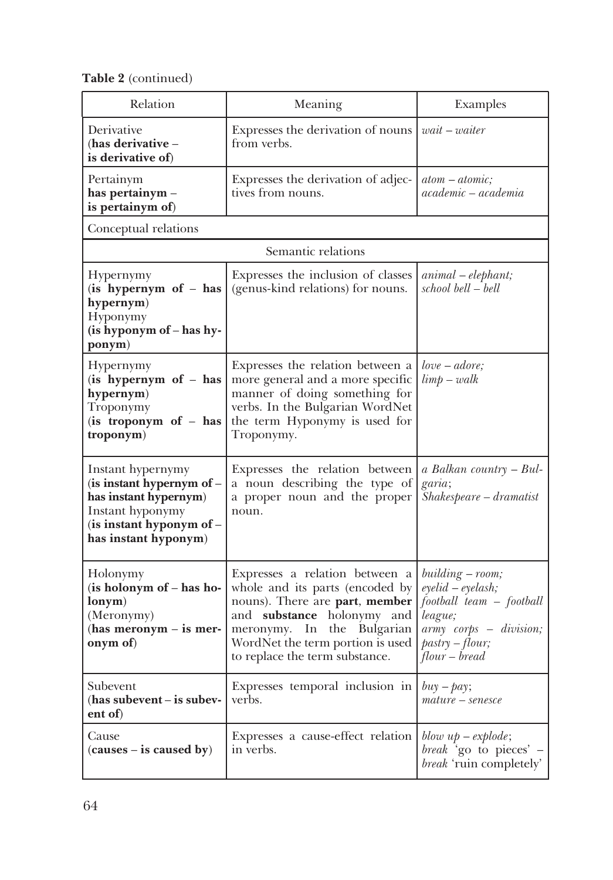**Table 2** (continued)

| Relation                                                                                                                                        | Meaning                                                                                                                                                                                                                                        | Examples                                                                                                                                                     |
|-------------------------------------------------------------------------------------------------------------------------------------------------|------------------------------------------------------------------------------------------------------------------------------------------------------------------------------------------------------------------------------------------------|--------------------------------------------------------------------------------------------------------------------------------------------------------------|
| Derivative<br>(has derivative $-$<br>is derivative of)                                                                                          | Expresses the derivation of nouns<br>from verbs.                                                                                                                                                                                               | $wait - water$                                                                                                                                               |
| Pertainym<br>has pertainym -<br>is pertainym of)                                                                                                | Expresses the derivation of adjec-<br>tives from nouns.                                                                                                                                                                                        | $atom - atomic;$<br>$academic -academia$                                                                                                                     |
| Conceptual relations                                                                                                                            |                                                                                                                                                                                                                                                |                                                                                                                                                              |
|                                                                                                                                                 | Semantic relations                                                                                                                                                                                                                             |                                                                                                                                                              |
| Hypernymy<br>(is hypernym of - has<br>hypernym)<br>Hyponymy<br>(is hyponym of - has hy-<br>ponym)                                               | Expresses the inclusion of classes<br>(genus-kind relations) for nouns.                                                                                                                                                                        | $animal - elephant;$<br>school bell - bell                                                                                                                   |
| Hypernymy<br>(is hypernym of - has<br>hypernym)<br>Troponymy<br>(is troponym of - has<br>troponym)                                              | Expresses the relation between a<br>more general and a more specific<br>manner of doing something for<br>verbs. In the Bulgarian WordNet<br>the term Hyponymy is used for<br>Troponymy.                                                        | $love - adore;$<br>$\lim p - walk$                                                                                                                           |
| Instant hypernymy<br>(is instant hypernym of -<br>has instant hypernym)<br>Instant hyponymy<br>(is instant hyponym of -<br>has instant hyponym) | Expresses the relation between<br>a noun describing the type of<br>a proper noun and the proper<br>noun.                                                                                                                                       | a Balkan country - Bul-<br>garia;<br>$\overline{Shakespeare-dramatist}$                                                                                      |
| Holonymy<br>(is holonym of - has ho-<br>lonym)<br>(Meronymy)<br>(has meronym $-$ is mer-<br>onym of)                                            | Expresses a relation between a<br>whole and its parts (encoded by<br>nouns). There are part, member<br>and substance holonymy and<br>Bulgarian<br>meronymy.<br>In<br>the<br>WordNet the term portion is used<br>to replace the term substance. | building – room;<br>$e$ yelid – $e$ yelash;<br>football team - football<br>league;<br>army corps - division;<br>$\mathit{pastro}$ - flour;<br>$flow - bread$ |
| Subevent<br>(has subevent - is subev-<br>ent of)                                                                                                | Expresses temporal inclusion in<br>verbs.                                                                                                                                                                                                      | $buy - pay;$<br>$mature-senesce$                                                                                                                             |
| Cause<br>$(causes - is caused by)$                                                                                                              | Expresses a cause-effect relation<br>in verbs.                                                                                                                                                                                                 | blow $up-explode;$<br>break 'go to pieces' -<br>break 'ruin completely'                                                                                      |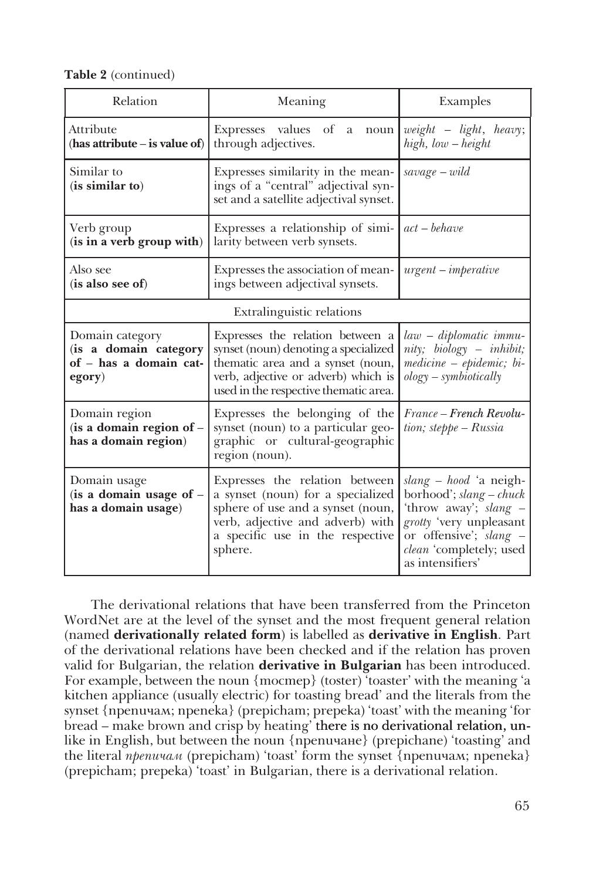**Table 2** (continued)

| Relation                                                                     | Meaning                                                                                                                                                                                       | Examples                                                                                                                                                                       |
|------------------------------------------------------------------------------|-----------------------------------------------------------------------------------------------------------------------------------------------------------------------------------------------|--------------------------------------------------------------------------------------------------------------------------------------------------------------------------------|
| Attribute<br>(has attribute $-$ is value of)                                 | Expresses values of<br>a<br>noun<br>through adjectives.                                                                                                                                       | $weight$ - $light$ , heavy;<br>$high, low-height$                                                                                                                              |
| Similar to<br>(is similar to)                                                | Expresses similarity in the mean-<br>ings of a "central" adjectival syn-<br>set and a satellite adjectival synset.                                                                            | $\mathit{save} - \mathit{wild}$                                                                                                                                                |
| Verb group<br>(is in a verb group with)                                      | Expresses a relationship of simi-<br>larity between verb synsets.                                                                                                                             | $act - behave$                                                                                                                                                                 |
| Also see<br>(is also see of)                                                 | Expresses the association of mean-<br>ings between adjectival synsets.                                                                                                                        | $urgent - imperative$                                                                                                                                                          |
|                                                                              | Extralinguistic relations                                                                                                                                                                     |                                                                                                                                                                                |
| Domain category<br>(is a domain category<br>of - has a domain cat-<br>egory) | Expresses the relation between a<br>synset (noun) denoting a specialized<br>thematic area and a synset (noun,<br>verb, adjective or adverb) which is<br>used in the respective thematic area. | law – diplomatic immu-<br>nity; biology – inhibit;<br>$\textit{medium} - \textit{epidemic}; \textit{bi} -$<br>$ology-symbiotically$                                            |
| Domain region<br>(is a domain region of -<br>has a domain region)            | Expresses the belonging of the<br>synset (noun) to a particular geo-<br>graphic or cultural-geographic<br>region (noun).                                                                      | France – French Revolu-<br>$tion; steppe-Russia$                                                                                                                               |
| Domain usage<br>(is a domain usage of $-$<br>has a domain usage)             | Expresses the relation between<br>a synset (noun) for a specialized<br>sphere of use and a synset (noun,<br>verb, adjective and adverb) with<br>a specific use in the respective<br>sphere.   | slang – hood 'a neigh-<br>borhood'; $slang-chuck$<br>'throw away'; slang –<br>grotty 'very unpleasant<br>or offensive'; slang -<br>clean 'completely; used<br>as intensifiers' |

The derivational relations that have been transferred from the Princeton WordNet are at the level of the synset and the most frequent general relation (named **derivationally related form**) is labelled as **derivative in English**. Part of the derivational relations have been checked and if the relation has proven valid for Bulgarian, the relation **derivative in Bulgarian** has been introduced. For example, between the noun {тостер} (toster) 'toaster' with the meaning 'a kitchen appliance (usually electric) for toasting bread' and the literals from the synset {препичам; препека} (prepicham; prepeka) 'toast' with the meaning 'for bread – make brown and crisp by heating' there is no derivational relation, unlike in English, but between the noun {препичане} (prepichane) 'toasting' and the literal *препичам* (prepicham) 'toast' form the synset {препичам; препека} (prepicham; prepeka) 'toast' in Bulgarian, there is a derivational relation.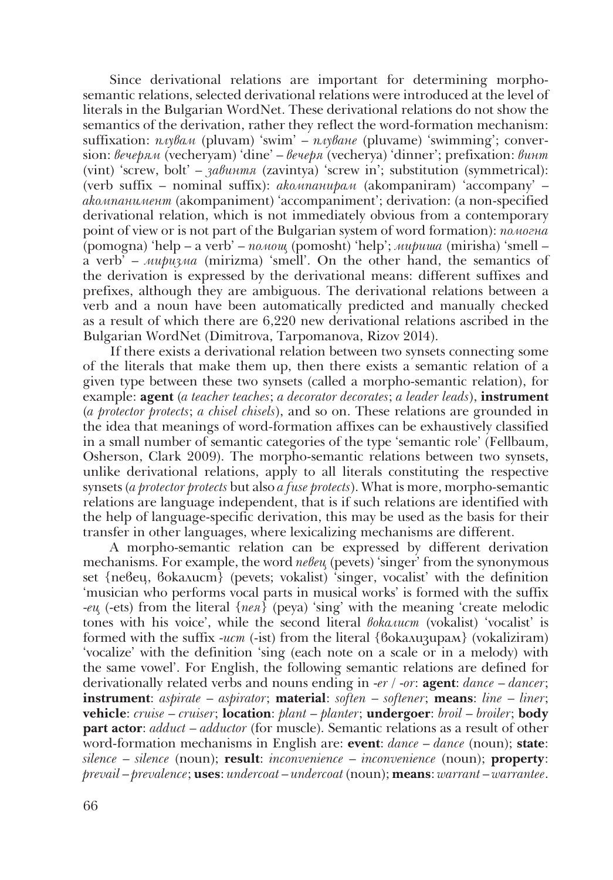Since derivational relations are important for determining morphosemantic relations, selected derivational relations were introduced at the level of literals in the Bulgarian WordNet. These derivational relations do not show the semantics of the derivation, rather they reflect the word-formation mechanism: suffixation: *плувам* (pluvam) 'swim' – *плуване* (pluvame) 'swimming'; conversion: *вечерям* (vecheryam) 'dine' – *вечеря* (vecherya) 'dinner'; prefixation: *винт* (vint) 'screw, bolt' – *завинтя* (zavintya) 'screw in'; substitution (symmetrical): (verb suffix – nominal suffix): *акомпанирам* (akompaniram) 'accompany' – *акомпанимент* (akompaniment) 'accompaniment'; derivation: (a non-specified derivational relation, which is not immediately obvious from a contemporary point of view or is not part of the Bulgarian system of word formation): *помогна* (pomogna) 'help – a verb' – *помощ* (pomosht) 'help'; *мириша* (mirisha) 'smell – a verb' – *миризма* (mirizma) 'smell'. On the other hand, the semantics of the derivation is expressed by the derivational means: different suffixes and prefixes, although they are ambiguous. The derivational relations between a verb and a noun have been automatically predicted and manually checked as a result of which there are 6,220 new derivational relations ascribed in the Bulgarian WordNet (Dimitrova, Tarpomanova, Rizov 2014).

If there exists a derivational relation between two synsets connecting some of the literals that make them up, then there exists a semantic relation of a given type between these two synsets (called a morpho-semantic relation), for example: **agent** (*a teacher teaches*; *a decorator decorates*; *a leader leads*), **instrument** (*a protector protects*; *a chisel chisels*), and so on. These relations are grounded in the idea that meanings of word-formation affixes can be exhaustively classified in a small number of semantic categories of the type 'semantic role' (Fellbaum, Osherson, Clark 2009). The morpho-semantic relations between two synsets, unlike derivational relations, apply to all literals constituting the respective synsets (*a protector protects* but also *a fuse protects*). What is more, morpho-semantic relations are language independent, that is if such relations are identified with the help of language-specific derivation, this may be used as the basis for their transfer in other languages, where lexicalizing mechanisms are different.

A morpho-semantic relation can be expressed by different derivation mechanisms. For example, the word *πeβeu* (pevets) 'singer' from the synonymous set {певец, вокалист} (pevets; vokalist) 'singer, vocalist' with the definition 'musician who performs vocal parts in musical works' is formed with the suffix -*ец* (-ets) from the literal {*пея*} (peya) 'sing' with the meaning 'create melodic tones with his voice', while the second literal *вокалист* (vokalist) 'vocalist' is formed with the suffix -*ист* (-ist) from the literal {вокализирам} (vokaliziram) 'vocalize' with the definition 'sing (each note on a scale or in a melody) with the same vowel'. For English, the following semantic relations are defined for derivationally related verbs and nouns ending in -*er* / -*or*: **agent**: *dance* – *dancer*; **instrument**: *aspirate* – *aspirator*; **material**: *soften* – *softener*; **means**: *line* – *liner*; **vehicle**: *cruise* – *cruiser*; **location**: *plant* – *planter*; **undergoer**: *broil* – *broiler*; **body part actor**: *adduct* – *adductor* (for muscle). Semantic relations as a result of other word-formation mechanisms in English are: **event**: *dance* – *dance* (noun); **state**: *silence* – *silence* (noun); **result**: *inconvenience* – *inconvenience* (noun); **property**: *prevail* – *prevalence*; **uses**: *undercoat* – *undercoat* (noun); **means**: *warrant* – *warrantee*.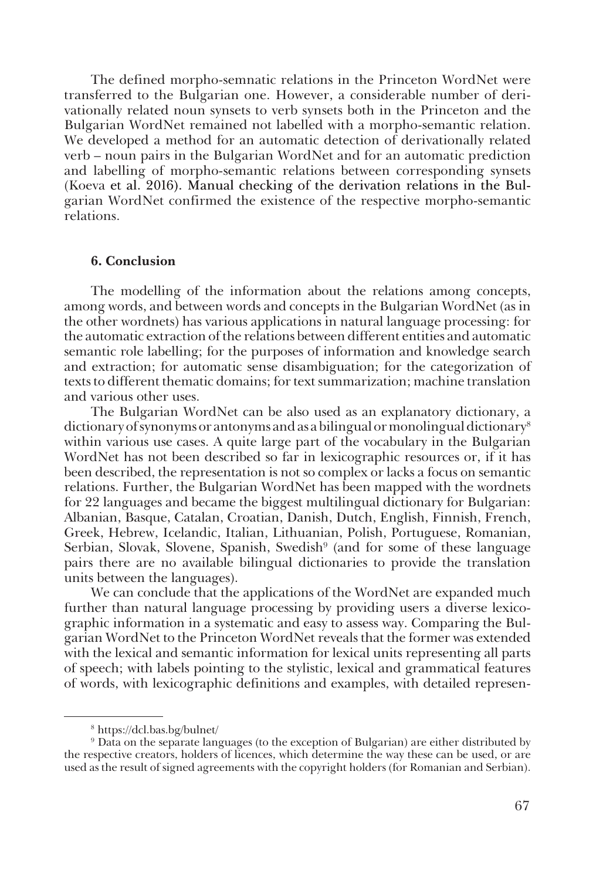The defined morpho-semnatic relations in the Princeton WordNet were transferred to the Bulgarian one. However, a considerable number of derivationally related noun synsets to verb synsets both in the Princeton and the Bulgarian WordNet remained not labelled with a morpho-semantic relation. We developed a method for an automatic detection of derivationally related verb – noun pairs in the Bulgarian WordNet and for an automatic prediction and labelling of morpho-semantic relations between corresponding synsets (Koeva et al. 2016). Manual checking of the derivation relations in the Bulgarian WordNet confirmed the existence of the respective morpho-semantic relations.

#### **6. Conclusion**

The modelling of the information about the relations among concepts, among words, and between words and concepts in the Bulgarian WordNet (as in the other wordnets) has various applications in natural language processing: for the automatic extraction of the relations between different entities and automatic semantic role labelling; for the purposes of information and knowledge search and extraction; for automatic sense disambiguation; for the categorization of texts to different thematic domains; for text summarization; machine translation and various other uses.

The Bulgarian WordNet can be also used as an explanatory dictionary, a dictionary of synonyms or antonyms and as a bilingual or monolingual dictionary8 within various use cases. A quite large part of the vocabulary in the Bulgarian WordNet has not been described so far in lexicographic resources or, if it has been described, the representation is not so complex or lacks a focus on semantic relations. Further, the Bulgarian WordNet has been mapped with the wordnets for 22 languages and became the biggest multilingual dictionary for Bulgarian: Albanian, Basque, Catalan, Croatian, Danish, Dutch, English, Finnish, French, Greek, Hebrew, Icelandic, Italian, Lithuanian, Polish, Portuguese, Romanian, Serbian, Slovak, Slovene, Spanish, Swedish<sup>9</sup> (and for some of these language pairs there are no available bilingual dictionaries to provide the translation units between the languages).

We can conclude that the applications of the WordNet are expanded much further than natural language processing by providing users a diverse lexicographic information in a systematic and easy to assess way. Comparing the Bulgarian WordNet to the Princeton WordNet reveals that the former was extended with the lexical and semantic information for lexical units representing all parts of speech; with labels pointing to the stylistic, lexical and grammatical features of words, with lexicographic definitions and examples, with detailed represen-

<sup>8</sup> https://dcl.bas.bg/bulnet/

<sup>9</sup> Data on the separate languages (to the exception of Bulgarian) are either distributed by the respective creators, holders of licences, which determine the way these can be used, or are used as the result of signed agreements with the copyright holders (for Romanian and Serbian).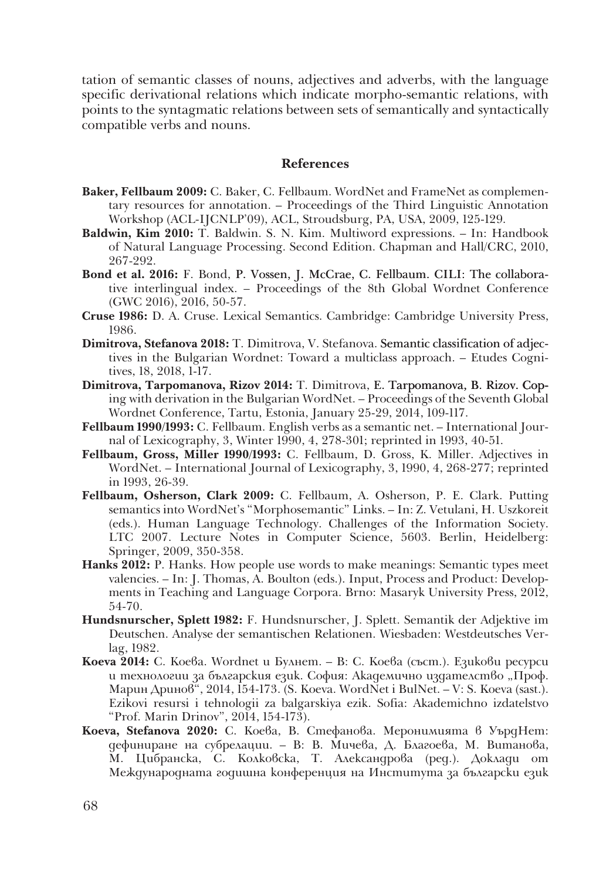tation of semantic classes of nouns, adjectives and adverbs, with the language specific derivational relations which indicate morpho-semantic relations, with points to the syntagmatic relations between sets of semantically and syntactically compatible verbs and nouns.

# **References**

- **Baker, Fellbaum 2009:** C. Baker, C. Fellbaum. WordNet and FrameNet as complementary resources for annotation. – Proceedings of the Third Linguistic Annotation Workshop (ACL-IJCNLP'09), ACL, Stroudsburg, PA, USA, 2009, 125-129.
- **Baldwin, Kim 2010:** T. Baldwin. S. N. Kim. Multiword expressions. In: Handbook of Natural Language Processing. Second Edition. Chapman and Hall/CRC, 2010, 267-292.
- Bond et al. 2016: F. Bond, P. Vossen, J. McCrae, C. Fellbaum. CILI: The collaborative interlingual index. – Proceedings of the 8th Global Wordnet Conference (GWC 2016), 2016, 50-57.
- **Cruse 1986:** D. A. Cruse. Lexical Semantics. Cambridge: Cambridge University Press, 1986.
- **Dimitrova, Stefanova 2018:** T. Dimitrova, V. Stefanova. Semantic classification of adjectives in the Bulgarian Wordnet: Toward a multiclass approach. – Etudes Cognitives, 18, 2018, 1-17.
- Dimitrova, Tarpomanova, Rizov 2014: T. Dimitrova, E. Tarpomanova, B. Rizov. Coping with derivation in the Bulgarian WordNet. – Proceedings of the Seventh Global Wordnet Conference, Tartu, Estonia, January 25-29, 2014, 109-117.
- **Fellbaum 1990/1993:** C. Fellbaum. English verbs as a semantic net. International Journal of Lexicography, 3, Winter 1990, 4, 278-301; reprinted in 1993, 40-51.
- **Fellbaum, Gross, Miller 1990/1993:** C. Fellbaum, D. Gross, K. Miller. Adjectives in WordNet. – International Journal of Lexicography, 3, 1990, 4, 268-277; reprinted in 1993, 26-39.
- **Fellbaum, Osherson, Clark 2009:** C. Fellbaum, A. Osherson, P. E. Clark. Putting semantics into WordNet's "Morphosemantic" Links. – In: Z. Vetulani, H. Uszkoreit (eds.). Human Language Technology. Challenges of the Information Society. LTC 2007. Lecture Notes in Computer Science, 5603. Berlin, Heidelberg: Springer, 2009, 350-358.
- **Hanks 2012:** P. Hanks. How people use words to make meanings: Semantic types meet valencies. – In: J. Thomas, A. Boulton (eds.). Input, Process and Product: Developments in Teaching and Language Corpora. Brno: Masaryk University Press, 2012, 54-70.
- **Hundsnurscher, Splett 1982:** F. Hundsnurscher, J. Splett. Semantik der Adjektive im Deutschen. Analyse der semantischen Relationen. Wiesbaden: Westdeutsches Verlag, 1982.
- **Koeva 2014:** С. Коева. Wordnet и Булнет. В: С. Коева (съст.). Езикови ресурси и технологии за българския език. София: Академично издателство "Проф. Марин Дринов", 2014, 154-173. (S. Koeva. WordNet i BulNet. – V: S. Koeva (sast.). Ezikovi resursi i tehnologii za balgarskiya ezik. Sofia: Akademichno izdatelstvo "Prof. Marin Drinov", 2014, 154-173).
- **Koeva, Stefanova 2020:** С. Коева, В. Стефанова. Меронимията в УърдНет: дефиниране на субрелации. – В: В. Мичева, Д. Благоева, М. Витанова, М. Цибранска, С. Колковска, Т. Александрова (ред.). Доклади от Международната годишна конференция на Института за български език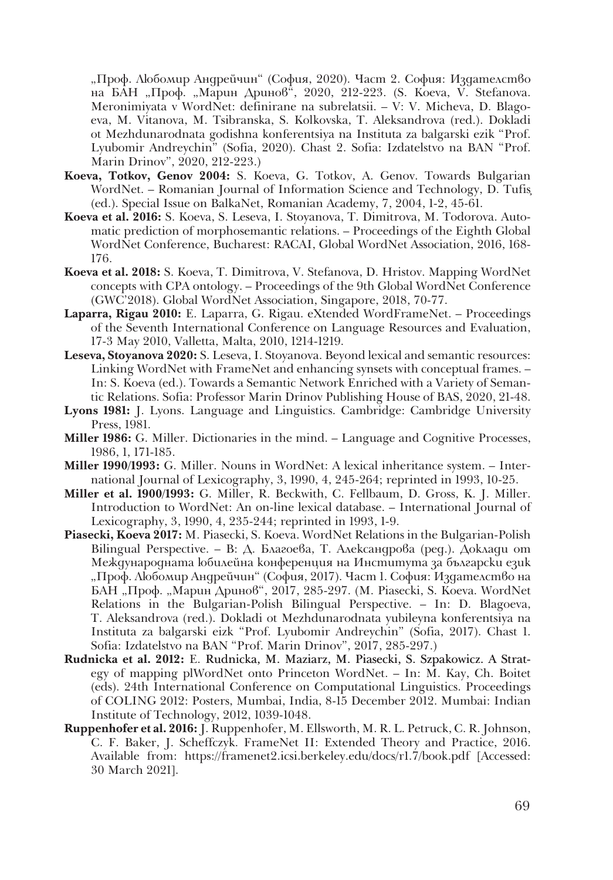"Проф. Любомир Андрейчин" (София, 2020). Част 2. София: Издателство на БАН "Проф. "Марин Дринов", 2020, 212-223. (S. Koeva, V. Stefanova. Meronimiyata v WordNet: definirane na subrelatsii. – V: V. Micheva, D. Blagoeva, M. Vitanova, M. Tsibranska, S. Kolkovska, T. Aleksandrova (red.). Dokladi ot Mezhdunarodnata godishna konferentsiya na Instituta za balgarski ezik "Prof. Lyubomir Andreychin" (Sofia, 2020). Chast 2. Sofia: Izdatelstvo na BAN "Prof. Marin Drinov", 2020, 212-223.)

- **Koeva, Totkov, Genov 2004:** S. Koeva, G. Totkov, A. Genov. Towards Bulgarian WordNet. – Romanian Journal of Information Science and Technology, D. Tufiş (ed.). Special Issue on BalkaNet, Romanian Academy, 7, 2004, 1-2, 45-61.
- **Koeva et al. 2016:** S. Koeva, S. Leseva, I. Stoyanova, T. Dimitrova, M. Todorova. Automatic prediction of morphosemantic relations. – Proceedings of the Eighth Global WordNet Conference, Bucharest: RACAI, Global WordNet Association, 2016, 168- 176.
- **Koeva et al. 2018:** S. Koeva, T. Dimitrova, V. Stefanova, D. Hristov. Mapping WordNet concepts with CPA ontology. – Proceedings of the 9th Global WordNet Conference (GWC'2018). Global WordNet Association, Singapore, 2018, 70-77.
- **Laparra, Rigau 2010:** E. Laparra, G. Rigau. eXtended WordFrameNet. Proceedings of the Seventh International Conference on Language Resources and Evaluation, 17-3 May 2010, Valletta, Malta, 2010, 1214-1219.
- **Leseva, Stoyanova 2020:** S. Leseva, I. Stoyanova. Beyond lexical and semantic resources: Linking WordNet with FrameNet and enhancing synsets with conceptual frames. – In: S. Koeva (ed.). Towards a Semantic Network Enriched with a Variety of Semantic Relations. Sofia: Professor Marin Drinov Publishing House of BAS, 2020, 21-48.
- **Lyons 1981:** J. Lyons. Language and Linguistics. Cambridge: Cambridge University Press, 1981.
- **Miller 1986:** G. Miller. Dictionaries in the mind. Language and Cognitive Processes, 1986, 1, 171-185.
- **Miller 1990/1993:** G. Miller. Nouns in WordNet: A lexical inheritance system. International Journal of Lexicography, 3, 1990, 4, 245-264; reprinted in 1993, 10-25.
- **Miller et al. 1900/1993:** G. Miller, R. Beckwith, C. Fellbaum, D. Gross, K. J. Miller. Introduction to WordNet: An on-line lexical database. – International Journal of Lexicography, 3, 1990, 4, 235-244; reprinted in 1993, 1-9.
- **Piasecki, Koeva 2017:** M. Piasecki, S. Koeva. WordNet Relations in the Bulgarian-Polish Bilingual Perspective. - В: Д. Благоева, Т. Александрова (ред.). Доклади от Международната юбилейна конференция на Института за български език "Проф. Любомир Андрейчин" (София, 2017). Част 1. София: Издателство на БАН "Проф. "Марин Дринов", 2017, 285-297. (M. Piasecki, S. Koeva. WordNet Relations in the Bulgarian-Polish Bilingual Perspective. – In: D. Blagoeva, T. Aleksandrova (red.). Dokladi ot Mezhdunarodnata yubileyna konferentsiya na Instituta za balgarski eizk "Prof. Lyubomir Andreychin" (Sofia, 2017). Chast 1. Sofia: Izdatelstvo na BAN "Prof. Marin Drinov", 2017, 285-297.)
- Rudnicka et al. 2012: E. Rudnicka, M. Maziarz, M. Piasecki, S. Szpakowicz. A Strategy of mapping plWordNet onto Princeton WordNet. – In: M. Kay, Ch. Boitet (eds). 24th International Conference on Computational Linguistics. Proceedings of COLING 2012: Posters, Mumbai, India, 8-15 December 2012. Mumbai: Indian Institute of Technology, 2012, 1039-1048.
- **Ruppenhofer et al. 2016:** J. Ruppenhofer, M. Ellsworth, M. R. L. Petruck, C. R. Johnson, C. F. Baker, J. Scheffczyk. FrameNet II: Extended Theory and Practice, 2016. Available from: https://framenet2.icsi.berkeley.edu/docs/r1.7/book.pdf [Accessed: 30 March 2021].